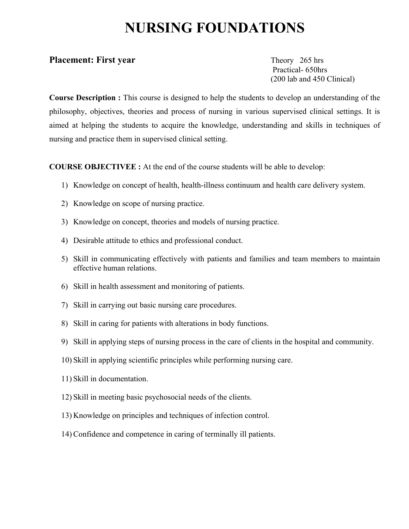# **NURSING FOUNDATIONS**

#### **Placement: First year** Theory 265 hrs

 Practical- 650hrs (200 lab and 450 Clinical)

**Course Description :** This course is designed to help the students to develop an understanding of the philosophy, objectives, theories and process of nursing in various supervised clinical settings. It is aimed at helping the students to acquire the knowledge, understanding and skills in techniques of nursing and practice them in supervised clinical setting.

**COURSE OBJECTIVEE :** At the end of the course students will be able to develop:

- 1) Knowledge on concept of health, health-illness continuum and health care delivery system.
- 2) Knowledge on scope of nursing practice.
- 3) Knowledge on concept, theories and models of nursing practice.
- 4) Desirable attitude to ethics and professional conduct.
- 5) Skill in communicating effectively with patients and families and team members to maintain effective human relations.
- 6) Skill in health assessment and monitoring of patients.
- 7) Skill in carrying out basic nursing care procedures.
- 8) Skill in caring for patients with alterations in body functions.
- 9) Skill in applying steps of nursing process in the care of clients in the hospital and community.
- 10) Skill in applying scientific principles while performing nursing care.
- 11) Skill in documentation.
- 12) Skill in meeting basic psychosocial needs of the clients.
- 13) Knowledge on principles and techniques of infection control.
- 14) Confidence and competence in caring of terminally ill patients.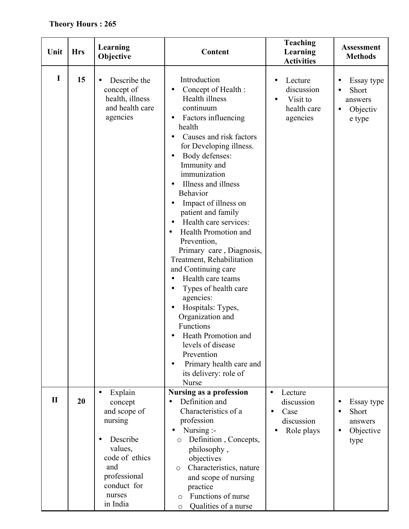## **Theory Hours : 265**

| Unit         | <b>Hrs</b> | Learning<br>Objective                                                                                                                                                        | <b>Content</b>                                                                                                                                                                                                                                                                                                                                                                                                                                                                                                                                                                                                                                                                                                             | <b>Teaching</b><br>Learning<br><b>Activities</b>                                       | <b>Assessment</b><br><b>Methods</b>                               |
|--------------|------------|------------------------------------------------------------------------------------------------------------------------------------------------------------------------------|----------------------------------------------------------------------------------------------------------------------------------------------------------------------------------------------------------------------------------------------------------------------------------------------------------------------------------------------------------------------------------------------------------------------------------------------------------------------------------------------------------------------------------------------------------------------------------------------------------------------------------------------------------------------------------------------------------------------------|----------------------------------------------------------------------------------------|-------------------------------------------------------------------|
| I            | 15         | Describe the<br>$\bullet$<br>concept of<br>health, illness<br>and health care<br>agencies                                                                                    | Introduction<br>Concept of Health :<br>Health illness<br>continuum<br>Factors influencing<br>$\bullet$<br>health<br>Causes and risk factors<br>$\bullet$<br>for Developing illness.<br>Body defenses:<br>Immunity and<br>immunization<br>Illness and illness<br>Behavior<br>Impact of illness on<br>patient and family<br>Health care services:<br>Health Promotion and<br>Prevention,<br>Primary care, Diagnosis,<br>Treatment, Rehabilitation<br>and Continuing care<br>Health care teams<br>$\bullet$<br>Types of health care<br>agencies:<br>Hospitals: Types,<br>Organization and<br>Functions<br>Heath Promotion and<br>levels of disease<br>Prevention<br>Primary health care and<br>its delivery: role of<br>Nurse | Lecture<br>$\bullet$<br>discussion<br>Visit to<br>$\bullet$<br>health care<br>agencies | Essay type<br>Short<br>answers<br>Objectiv<br>$\bullet$<br>e type |
| $\mathbf{I}$ | 20         | Explain<br>$\bullet$<br>concept<br>and scope of<br>nursing<br>Describe<br>$\bullet$<br>values,<br>code of ethics<br>and<br>professional<br>conduct for<br>nurses<br>in India | Nursing as a profession<br>Definition and<br>$\bullet$<br>Characteristics of a<br>profession<br>Nursing :-<br>$\bullet$<br>Definition, Concepts,<br>$\circ$<br>philosophy,<br>objectives<br>Characteristics, nature<br>$\circ$<br>and scope of nursing<br>practice<br>Functions of nurse<br>$\circ$<br>Qualities of a nurse<br>O                                                                                                                                                                                                                                                                                                                                                                                           | Lecture<br>$\bullet$<br>discussion<br>Case<br>$\bullet$<br>discussion<br>Role plays    | Essay type<br>Short<br>answers<br>Objective<br>$\bullet$<br>type  |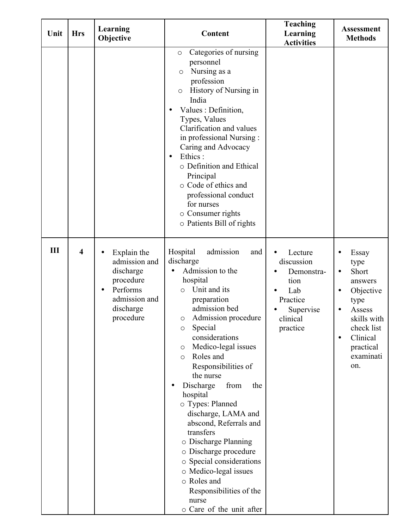| Unit | <b>Hrs</b>              | Learning<br>Objective                                                                                         | Content                                                                                                                                                                                                                                                                                                                                                                                                                                                                                                                                                                                                          | <b>Teaching</b><br>Learning<br><b>Activities</b>                                                    | <b>Assessment</b><br><b>Methods</b>                                                                                                                                               |
|------|-------------------------|---------------------------------------------------------------------------------------------------------------|------------------------------------------------------------------------------------------------------------------------------------------------------------------------------------------------------------------------------------------------------------------------------------------------------------------------------------------------------------------------------------------------------------------------------------------------------------------------------------------------------------------------------------------------------------------------------------------------------------------|-----------------------------------------------------------------------------------------------------|-----------------------------------------------------------------------------------------------------------------------------------------------------------------------------------|
|      |                         |                                                                                                               | Categories of nursing<br>$\circ$<br>personnel<br>Nursing as a<br>$\circ$<br>profession<br>History of Nursing in<br>$\circ$<br>India<br>Values : Definition,<br>Types, Values<br>Clarification and values<br>in professional Nursing:<br>Caring and Advocacy<br>Ethics:<br>$\bullet$<br>o Definition and Ethical<br>Principal<br>o Code of ethics and<br>professional conduct<br>for nurses<br>o Consumer rights<br>o Patients Bill of rights                                                                                                                                                                     |                                                                                                     |                                                                                                                                                                                   |
| III  | $\overline{\mathbf{4}}$ | Explain the<br>admission and<br>discharge<br>procedure<br>Performs<br>admission and<br>discharge<br>procedure | admission<br>Hospital<br>and<br>discharge<br>Admission to the<br>hospital<br>Unit and its<br>$\circ$<br>preparation<br>admission bed<br>Admission procedure<br>Special<br>$\circ$<br>considerations<br>Medico-legal issues<br>$\circ$<br>Roles and<br>$\circ$<br>Responsibilities of<br>the nurse<br>Discharge<br>from<br>the<br>hospital<br>o Types: Planned<br>discharge, LAMA and<br>abscond, Referrals and<br>transfers<br>o Discharge Planning<br>o Discharge procedure<br>o Special considerations<br>o Medico-legal issues<br>o Roles and<br>Responsibilities of the<br>nurse<br>o Care of the unit after | Lecture<br>discussion<br>Demonstra-<br>tion<br>Lab<br>Practice<br>Supervise<br>clinical<br>practice | Essay<br>type<br>Short<br>$\bullet$<br>answers<br>Objective<br>$\bullet$<br>type<br>Assess<br>skills with<br>check list<br>Clinical<br>$\bullet$<br>practical<br>examinati<br>on. |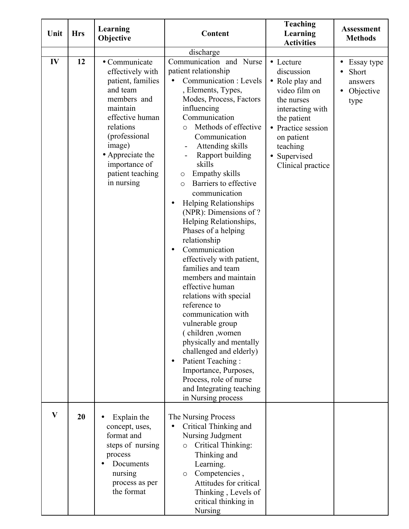| Unit | <b>Hrs</b> | Learning<br>Objective                                                                                                                                                                                                           | Content                                                                                                                                                                                                                                                                                                                                                                                                                                                                                                                                                                                                                                                                                                                                                                                                                                                                                  | <b>Teaching</b><br>Learning<br><b>Activities</b>                                                                                                                                                                      | <b>Assessment</b><br><b>Methods</b>                              |
|------|------------|---------------------------------------------------------------------------------------------------------------------------------------------------------------------------------------------------------------------------------|------------------------------------------------------------------------------------------------------------------------------------------------------------------------------------------------------------------------------------------------------------------------------------------------------------------------------------------------------------------------------------------------------------------------------------------------------------------------------------------------------------------------------------------------------------------------------------------------------------------------------------------------------------------------------------------------------------------------------------------------------------------------------------------------------------------------------------------------------------------------------------------|-----------------------------------------------------------------------------------------------------------------------------------------------------------------------------------------------------------------------|------------------------------------------------------------------|
|      |            |                                                                                                                                                                                                                                 | discharge                                                                                                                                                                                                                                                                                                                                                                                                                                                                                                                                                                                                                                                                                                                                                                                                                                                                                |                                                                                                                                                                                                                       |                                                                  |
| IV   | 12         | • Communicate<br>effectively with<br>patient, families<br>and team<br>members and<br>maintain<br>effective human<br>relations<br>(professional<br>image)<br>• Appreciate the<br>importance of<br>patient teaching<br>in nursing | Communication and Nurse<br>patient relationship<br>Communication : Levels<br>, Elements, Types,<br>Modes, Process, Factors<br>influencing<br>Communication<br>Methods of effective<br>$\circ$<br>Communication<br>Attending skills<br>-<br>Rapport building<br>skills<br>Empathy skills<br>$\circ$<br>Barriers to effective<br>$\circ$<br>communication<br><b>Helping Relationships</b><br>(NPR): Dimensions of ?<br>Helping Relationships,<br>Phases of a helping<br>relationship<br>Communication<br>effectively with patient,<br>families and team<br>members and maintain<br>effective human<br>relations with special<br>reference to<br>communication with<br>vulnerable group<br>(children, women<br>physically and mentally<br>challenged and elderly)<br>Patient Teaching:<br>Importance, Purposes,<br>Process, role of nurse<br>and Integrating teaching<br>in Nursing process | • Lecture<br>discussion<br>Role play and<br>$\bullet$<br>video film on<br>the nurses<br>interacting with<br>the patient<br>Practice session<br>$\bullet$<br>on patient<br>teaching<br>Supervised<br>Clinical practice | Essay type<br>$\bullet$<br>Short<br>answers<br>Objective<br>type |
| V    | 20         | Explain the<br>concept, uses,<br>format and<br>steps of nursing<br>process<br>Documents<br>nursing<br>process as per<br>the format                                                                                              | The Nursing Process<br>Critical Thinking and<br>Nursing Judgment<br>Critical Thinking:<br>$\circ$<br>Thinking and<br>Learning.<br>Competencies,<br>$\circ$<br>Attitudes for critical<br>Thinking, Levels of<br>critical thinking in<br>Nursing                                                                                                                                                                                                                                                                                                                                                                                                                                                                                                                                                                                                                                           |                                                                                                                                                                                                                       |                                                                  |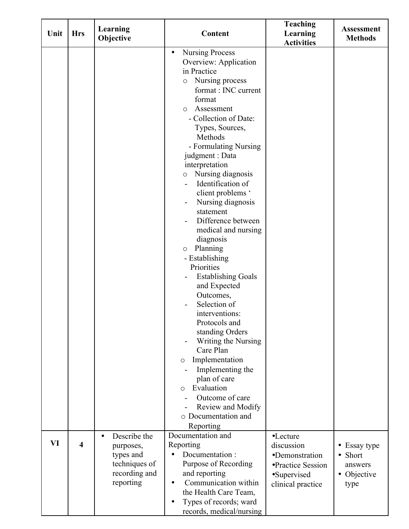|      |                         | Learning                                                                                           |                                                                                                                                                                                                                                                                                                                                                                                                                                                                                                                                                                                                                                                                                                                                                                                                                                                              | <b>Teaching</b>                                                                                   | <b>Assessment</b>                                         |
|------|-------------------------|----------------------------------------------------------------------------------------------------|--------------------------------------------------------------------------------------------------------------------------------------------------------------------------------------------------------------------------------------------------------------------------------------------------------------------------------------------------------------------------------------------------------------------------------------------------------------------------------------------------------------------------------------------------------------------------------------------------------------------------------------------------------------------------------------------------------------------------------------------------------------------------------------------------------------------------------------------------------------|---------------------------------------------------------------------------------------------------|-----------------------------------------------------------|
| Unit | <b>Hrs</b>              | Objective                                                                                          | Content                                                                                                                                                                                                                                                                                                                                                                                                                                                                                                                                                                                                                                                                                                                                                                                                                                                      | Learning<br><b>Activities</b>                                                                     | <b>Methods</b>                                            |
|      |                         |                                                                                                    | <b>Nursing Process</b><br>$\bullet$<br>Overview: Application<br>in Practice<br>Nursing process<br>$\circ$<br>format : INC current<br>format<br>Assessment<br>$\circ$<br>- Collection of Date:<br>Types, Sources,<br>Methods<br>- Formulating Nursing<br>judgment : Data<br>interpretation<br>Nursing diagnosis<br>$\circ$<br>Identification of<br>client problems '<br>Nursing diagnosis<br>$\qquad \qquad \blacksquare$<br>statement<br>Difference between<br>medical and nursing<br>diagnosis<br>Planning<br>$\circ$<br>- Establishing<br>Priorities<br><b>Establishing Goals</b><br>and Expected<br>Outcomes,<br>Selection of<br>interventions:<br>Protocols and<br>standing Orders<br>Writing the Nursing<br>Care Plan<br>Implementation<br>$\circ$<br>Implementing the<br>plan of care<br>Evaluation<br>$\circ$<br>Outcome of care<br>Review and Modify |                                                                                                   |                                                           |
|      |                         |                                                                                                    | o Documentation and<br>Reporting                                                                                                                                                                                                                                                                                                                                                                                                                                                                                                                                                                                                                                                                                                                                                                                                                             |                                                                                                   |                                                           |
| VI   | $\overline{\mathbf{4}}$ | Describe the<br>$\bullet$<br>purposes,<br>types and<br>techniques of<br>recording and<br>reporting | Documentation and<br>Reporting<br>Documentation:<br>Purpose of Recording<br>and reporting<br>Communication within<br>$\bullet$<br>the Health Care Team,<br>Types of records; ward<br>records, medical/nursing                                                                                                                                                                                                                                                                                                                                                                                                                                                                                                                                                                                                                                                | •Lecture<br>discussion<br>•Demonstration<br>•Practice Session<br>•Supervised<br>clinical practice | • Essay type<br>• Short<br>answers<br>• Objective<br>type |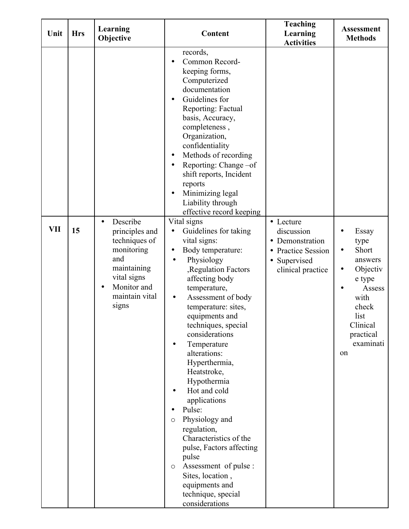| Unit       | <b>Hrs</b> | Learning<br>Objective                                                                                                                                 | Content                                                                                                                                                                                                                                                                                                                                                                                                                                                                                                                                                                                                                                                                         | <b>Teaching</b><br>Learning<br><b>Activities</b>                                                           | <b>Assessment</b><br><b>Methods</b>                                                                                                                              |
|------------|------------|-------------------------------------------------------------------------------------------------------------------------------------------------------|---------------------------------------------------------------------------------------------------------------------------------------------------------------------------------------------------------------------------------------------------------------------------------------------------------------------------------------------------------------------------------------------------------------------------------------------------------------------------------------------------------------------------------------------------------------------------------------------------------------------------------------------------------------------------------|------------------------------------------------------------------------------------------------------------|------------------------------------------------------------------------------------------------------------------------------------------------------------------|
|            |            |                                                                                                                                                       | records,<br>Common Record-<br>keeping forms,<br>Computerized<br>documentation<br>Guidelines for<br>Reporting: Factual<br>basis, Accuracy,<br>completeness,<br>Organization,<br>confidentiality<br>Methods of recording<br>$\bullet$<br>Reporting: Change-of<br>٠<br>shift reports, Incident<br>reports<br>Minimizing legal<br>٠<br>Liability through<br>effective record keeping                                                                                                                                                                                                                                                                                                |                                                                                                            |                                                                                                                                                                  |
| <b>VII</b> | 15         | Describe<br>$\bullet$<br>principles and<br>techniques of<br>monitoring<br>and<br>maintaining<br>vital signs<br>Monitor and<br>maintain vital<br>signs | Vital signs<br>Guidelines for taking<br>vital signs:<br>Body temperature:<br>$\bullet$<br>Physiology<br>$\bullet$<br>, Regulation Factors<br>affecting body<br>temperature,<br>Assessment of body<br>$\bullet$<br>temperature: sites,<br>equipments and<br>techniques, special<br>considerations<br>Temperature<br>$\bullet$<br>alterations:<br>Hyperthermia,<br>Heatstroke,<br>Hypothermia<br>Hot and cold<br>applications<br>Pulse:<br>$\bullet$<br>Physiology and<br>$\circ$<br>regulation,<br>Characteristics of the<br>pulse, Factors affecting<br>pulse<br>Assessment of pulse :<br>$\circ$<br>Sites, location,<br>equipments and<br>technique, special<br>considerations | • Lecture<br>discussion<br>• Demonstration<br><b>Practice Session</b><br>• Supervised<br>clinical practice | Essay<br>type<br>Short<br>$\bullet$<br>answers<br>Objectiv<br>$\bullet$<br>e type<br>Assess<br>with<br>check<br>list<br>Clinical<br>practical<br>examinati<br>on |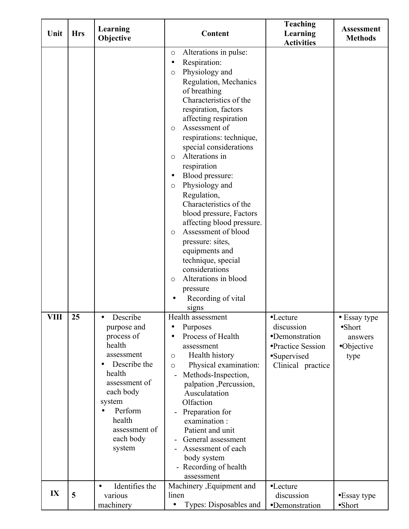| Unit        | <b>Hrs</b> | Learning<br>Objective                                                                                                       | Content                                                                                                                                                                                                                                                                                                                                                                                                                                                                                                                                                                                                                                                                                                                                                                                                                             | <b>Teaching</b><br>Learning<br><b>Activities</b>                             | <b>Assessment</b><br><b>Methods</b>                              |
|-------------|------------|-----------------------------------------------------------------------------------------------------------------------------|-------------------------------------------------------------------------------------------------------------------------------------------------------------------------------------------------------------------------------------------------------------------------------------------------------------------------------------------------------------------------------------------------------------------------------------------------------------------------------------------------------------------------------------------------------------------------------------------------------------------------------------------------------------------------------------------------------------------------------------------------------------------------------------------------------------------------------------|------------------------------------------------------------------------------|------------------------------------------------------------------|
| <b>VIII</b> | 25         | Describe<br>purpose and<br>process of<br>health<br>assessment                                                               | Alterations in pulse:<br>$\circ$<br>Respiration:<br>$\bullet$<br>Physiology and<br>$\circ$<br>Regulation, Mechanics<br>of breathing<br>Characteristics of the<br>respiration, factors<br>affecting respiration<br>Assessment of<br>$\circ$<br>respirations: technique,<br>special considerations<br>Alterations in<br>$\circ$<br>respiration<br>Blood pressure:<br>$\bullet$<br>Physiology and<br>$\circ$<br>Regulation,<br>Characteristics of the<br>blood pressure, Factors<br>affecting blood pressure.<br>Assessment of blood<br>$\circ$<br>pressure: sites,<br>equipments and<br>technique, special<br>considerations<br>Alterations in blood<br>$\circ$<br>pressure<br>Recording of vital<br>signs<br>Health assessment<br>Purposes<br>$\bullet$<br>Process of Health<br>$\bullet$<br>assessment<br>Health history<br>$\circ$ | •Lecture<br>discussion<br>•Demonstration<br>•Practice Session<br>•Supervised | • Essay type<br>$\bullet$ Short<br>answers<br>•Objective<br>type |
|             |            | Describe the<br>health<br>assessment of<br>each body<br>system<br>Perform<br>health<br>assessment of<br>each body<br>system | Physical examination:<br>$\circ$<br>Methods-Inspection,<br>palpation, Percussion,<br>Ausculatation<br>Olfaction<br>Preparation for<br>examination:<br>Patient and unit<br>General assessment<br>Assessment of each<br>body system<br>Recording of health<br>assessment                                                                                                                                                                                                                                                                                                                                                                                                                                                                                                                                                              | Clinical practice                                                            |                                                                  |
| IX          | 5          | Identifies the<br>$\bullet$<br>various<br>machinery                                                                         | Machinery , Equipment and<br>linen<br>Types: Disposables and                                                                                                                                                                                                                                                                                                                                                                                                                                                                                                                                                                                                                                                                                                                                                                        | •Lecture<br>discussion<br>•Demonstration                                     | •Essay type<br>$\bullet$ Short                                   |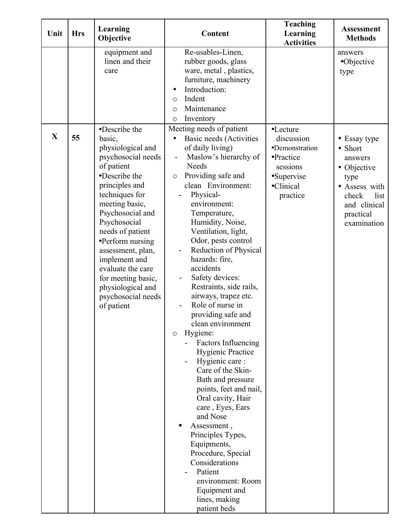| Unit        | <b>Hrs</b> | Learning<br>Objective                                                                                                                                                                                                                                                                                                                                        | Content                                                                                                                                                                                                                                                                                                                                                                                                                                                                                                                                                                                                                                                                                                                                                                                                                                                   | <b>Teaching</b><br>Learning<br><b>Activities</b>                                             | <b>Assessment</b><br><b>Methods</b>                                                                                                     |
|-------------|------------|--------------------------------------------------------------------------------------------------------------------------------------------------------------------------------------------------------------------------------------------------------------------------------------------------------------------------------------------------------------|-----------------------------------------------------------------------------------------------------------------------------------------------------------------------------------------------------------------------------------------------------------------------------------------------------------------------------------------------------------------------------------------------------------------------------------------------------------------------------------------------------------------------------------------------------------------------------------------------------------------------------------------------------------------------------------------------------------------------------------------------------------------------------------------------------------------------------------------------------------|----------------------------------------------------------------------------------------------|-----------------------------------------------------------------------------------------------------------------------------------------|
|             |            | equipment and<br>linen and their<br>care<br>•Describe the                                                                                                                                                                                                                                                                                                    | Re-usables-Linen,<br>rubber goods, glass<br>ware, metal, plastics,<br>furniture, machinery<br>Introduction:<br>$\bullet$<br>Indent<br>$\circ$<br>Maintenance<br>$\circ$<br>Inventory<br>$\circ$<br>Meeting needs of patient                                                                                                                                                                                                                                                                                                                                                                                                                                                                                                                                                                                                                               | •Lecture                                                                                     | answers<br>•Objective<br>type                                                                                                           |
| $\mathbf X$ | 55         | basic,<br>physiological and<br>psychosocial needs<br>of patient<br>•Describe the<br>principles and<br>techniques for<br>meeting basic,<br>Psychosocial and<br>Psychosocial<br>needs of patient<br>•Perform nursing<br>assessment, plan,<br>implement and<br>evaluate the care<br>for meeting basic,<br>physiological and<br>psychosocial needs<br>of patient | Basic needs (Activities<br>of daily living)<br>Maslow's hierarchy of<br>Needs<br>Providing safe and<br>$\circ$<br>clean Environment:<br>Physical-<br>environment:<br>Temperature,<br>Humidity, Noise,<br>Ventilation, light,<br>Odor, pests control<br>Reduction of Physical<br>hazards: fire,<br>accidents<br>Safety devices:<br>Restraints, side rails,<br>airways, trapez etc.<br>Role of nurse in<br>providing safe and<br>clean environment<br>Hygiene:<br>$\circ$<br><b>Factors Influencing</b><br><b>Hygienic Practice</b><br>Hygienic care:<br>Care of the Skin-<br>Bath and pressure<br>points, feet and nail,<br>Oral cavity, Hair<br>care, Eyes, Ears<br>and Nose<br>Assessment,<br>Principles Types,<br>Equipments,<br>Procedure, Special<br>Considerations<br>Patient<br>environment: Room<br>Equipment and<br>lines, making<br>patient beds | discussion<br>•Demonstration<br>•Practice<br>sessions<br>•Supervise<br>•Clinical<br>practice | • Essay type<br>• Short<br>answers<br>• Objective<br>type<br>• Assess with<br>check<br>list<br>and clinical<br>practical<br>examination |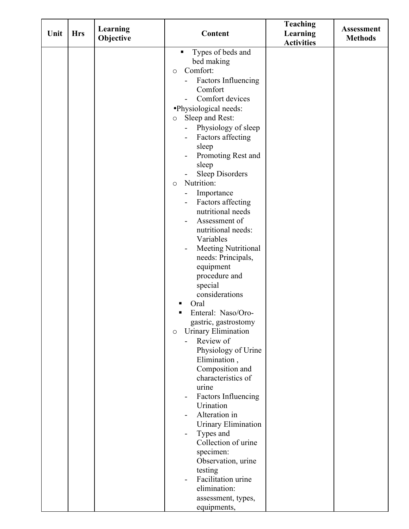| Unit | <b>Hrs</b> | Learning<br>Objective | Content                                                                                                                                                                                                                                                                                                                                                                                                                                                                                                                                                                                                                                                                                                                                                                                                                                                                                                                                                                                                                                                                      | <b>Teaching</b><br>Learning<br><b>Activities</b> | <b>Assessment</b><br><b>Methods</b> |
|------|------------|-----------------------|------------------------------------------------------------------------------------------------------------------------------------------------------------------------------------------------------------------------------------------------------------------------------------------------------------------------------------------------------------------------------------------------------------------------------------------------------------------------------------------------------------------------------------------------------------------------------------------------------------------------------------------------------------------------------------------------------------------------------------------------------------------------------------------------------------------------------------------------------------------------------------------------------------------------------------------------------------------------------------------------------------------------------------------------------------------------------|--------------------------------------------------|-------------------------------------|
|      |            |                       | Types of beds and<br>п<br>bed making<br>Comfort:<br>$\circ$<br>Factors Influencing<br>Comfort<br>Comfort devices<br>·Physiological needs:<br>Sleep and Rest:<br>$\circ$<br>Physiology of sleep<br>Factors affecting<br>Ξ.<br>sleep<br>Promoting Rest and<br>sleep<br><b>Sleep Disorders</b><br>Nutrition:<br>$\circ$<br>Importance<br>Factors affecting<br>-<br>nutritional needs<br>Assessment of<br>nutritional needs:<br>Variables<br>Meeting Nutritional<br>$\qquad \qquad \blacksquare$<br>needs: Principals,<br>equipment<br>procedure and<br>special<br>considerations<br>Oral<br>Enteral: Naso/Oro-<br>gastric, gastrostomy<br>Urinary Elimination<br>$\circ$<br>Review of<br>Physiology of Urine<br>Elimination,<br>Composition and<br>characteristics of<br>urine<br>Factors Influencing<br>Urination<br>Alteration in<br>$\overline{\phantom{0}}$<br>Urinary Elimination<br>Types and<br>Collection of urine<br>specimen:<br>Observation, urine<br>testing<br>Facilitation urine<br>$\overline{\phantom{0}}$<br>elimination:<br>assessment, types,<br>equipments, |                                                  |                                     |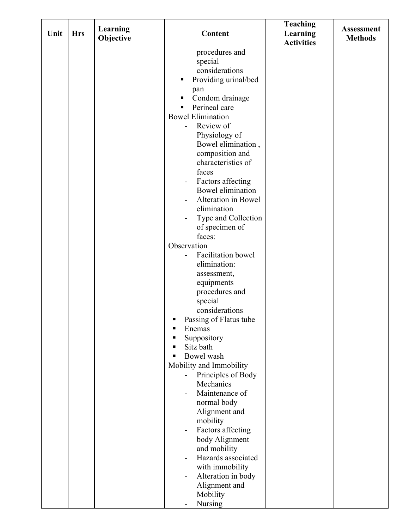| Unit | <b>Hrs</b> | Learning<br>Objective | Content                                                                                                                                                                                                                                                                                                                                                                                                                                                                                                                                                                                                                                                                                                                                                                                                                                                                                                                | <b>Teaching</b><br>Learning | <b>Assessment</b><br><b>Methods</b> |
|------|------------|-----------------------|------------------------------------------------------------------------------------------------------------------------------------------------------------------------------------------------------------------------------------------------------------------------------------------------------------------------------------------------------------------------------------------------------------------------------------------------------------------------------------------------------------------------------------------------------------------------------------------------------------------------------------------------------------------------------------------------------------------------------------------------------------------------------------------------------------------------------------------------------------------------------------------------------------------------|-----------------------------|-------------------------------------|
|      |            |                       | procedures and<br>special<br>considerations<br>Providing urinal/bed<br>п<br>pan<br>Condom drainage<br>п<br>Perineal care<br>П<br><b>Bowel Elimination</b><br>Review of<br>Physiology of<br>Bowel elimination,<br>composition and<br>characteristics of<br>faces<br>Factors affecting<br><b>Bowel elimination</b><br>Alteration in Bowel<br>-<br>elimination<br>Type and Collection<br>of specimen of<br>faces:<br>Observation<br>Facilitation bowel<br>elimination:<br>assessment,<br>equipments<br>procedures and<br>special<br>considerations<br>Passing of Flatus tube<br>Enemas<br>Suppository<br>Sitz bath<br>Bowel wash<br>Mobility and Immobility<br>Principles of Body<br>Mechanics<br>Maintenance of<br>normal body<br>Alignment and<br>mobility<br>Factors affecting<br>-<br>body Alignment<br>and mobility<br>Hazards associated<br>with immobility<br>Alteration in body<br>-<br>Alignment and<br>Mobility | <b>Activities</b>           |                                     |
|      |            |                       | <b>Nursing</b>                                                                                                                                                                                                                                                                                                                                                                                                                                                                                                                                                                                                                                                                                                                                                                                                                                                                                                         |                             |                                     |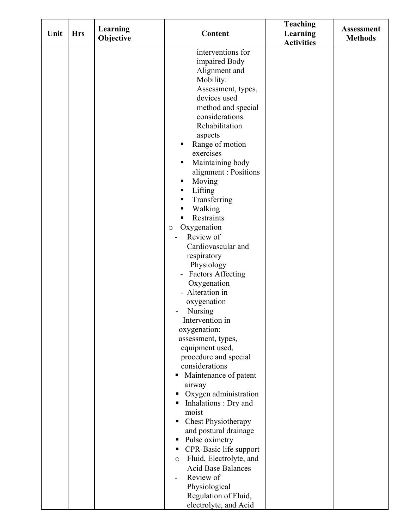| Unit | <b>Hrs</b> | Learning<br>Objective | Content                            | <b>Teaching</b><br>Learning<br><b>Activities</b> | <b>Assessment</b><br><b>Methods</b> |
|------|------------|-----------------------|------------------------------------|--------------------------------------------------|-------------------------------------|
|      |            |                       | interventions for                  |                                                  |                                     |
|      |            |                       | impaired Body                      |                                                  |                                     |
|      |            |                       | Alignment and                      |                                                  |                                     |
|      |            |                       | Mobility:                          |                                                  |                                     |
|      |            |                       | Assessment, types,                 |                                                  |                                     |
|      |            |                       | devices used                       |                                                  |                                     |
|      |            |                       | method and special                 |                                                  |                                     |
|      |            |                       | considerations.                    |                                                  |                                     |
|      |            |                       | Rehabilitation                     |                                                  |                                     |
|      |            |                       | aspects                            |                                                  |                                     |
|      |            |                       | Range of motion<br>п               |                                                  |                                     |
|      |            |                       | exercises                          |                                                  |                                     |
|      |            |                       | Maintaining body<br>п              |                                                  |                                     |
|      |            |                       | alignment : Positions              |                                                  |                                     |
|      |            |                       | Moving<br>п                        |                                                  |                                     |
|      |            |                       | Lifting<br>п                       |                                                  |                                     |
|      |            |                       | Transferring<br>٠                  |                                                  |                                     |
|      |            |                       | Walking<br>п                       |                                                  |                                     |
|      |            |                       | Restraints<br>٠                    |                                                  |                                     |
|      |            |                       | Oxygenation<br>$\circ$             |                                                  |                                     |
|      |            |                       | Review of                          |                                                  |                                     |
|      |            |                       | Cardiovascular and                 |                                                  |                                     |
|      |            |                       | respiratory                        |                                                  |                                     |
|      |            |                       | Physiology                         |                                                  |                                     |
|      |            |                       | <b>Factors Affecting</b>           |                                                  |                                     |
|      |            |                       | Oxygenation                        |                                                  |                                     |
|      |            |                       | - Alteration in                    |                                                  |                                     |
|      |            |                       | oxygenation<br><b>Nursing</b>      |                                                  |                                     |
|      |            |                       | Intervention in                    |                                                  |                                     |
|      |            |                       | oxygenation:                       |                                                  |                                     |
|      |            |                       | assessment, types,                 |                                                  |                                     |
|      |            |                       | equipment used,                    |                                                  |                                     |
|      |            |                       | procedure and special              |                                                  |                                     |
|      |            |                       | considerations                     |                                                  |                                     |
|      |            |                       | Maintenance of patent              |                                                  |                                     |
|      |            |                       | airway                             |                                                  |                                     |
|      |            |                       | Oxygen administration<br>п         |                                                  |                                     |
|      |            |                       | Inhalations: Dry and<br>п          |                                                  |                                     |
|      |            |                       | moist                              |                                                  |                                     |
|      |            |                       | Chest Physiotherapy<br>п           |                                                  |                                     |
|      |            |                       | and postural drainage              |                                                  |                                     |
|      |            |                       | Pulse oximetry<br>п                |                                                  |                                     |
|      |            |                       | CPR-Basic life support<br>п        |                                                  |                                     |
|      |            |                       | Fluid, Electrolyte, and<br>$\circ$ |                                                  |                                     |
|      |            |                       | <b>Acid Base Balances</b>          |                                                  |                                     |
|      |            |                       | Review of                          |                                                  |                                     |
|      |            |                       | Physiological                      |                                                  |                                     |
|      |            |                       | Regulation of Fluid,               |                                                  |                                     |
|      |            |                       | electrolyte, and Acid              |                                                  |                                     |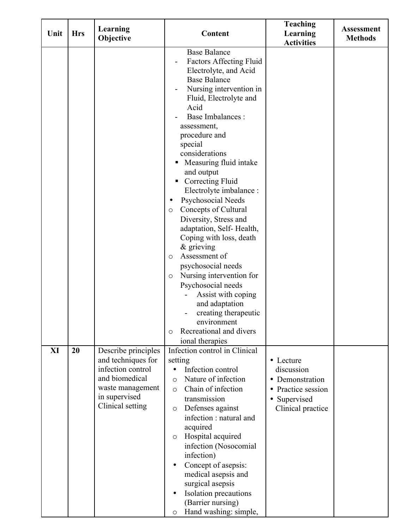| Unit | <b>Hrs</b> | Learning<br>Objective                                                                                                                     | Content                                                                                                                                                                                                                                                                                                                                                                                                                                                                                                                                                                                                                                                                                                                                                                 | <b>Teaching</b><br>Learning<br><b>Activities</b>                                                                                       | <b>Assessment</b><br><b>Methods</b> |
|------|------------|-------------------------------------------------------------------------------------------------------------------------------------------|-------------------------------------------------------------------------------------------------------------------------------------------------------------------------------------------------------------------------------------------------------------------------------------------------------------------------------------------------------------------------------------------------------------------------------------------------------------------------------------------------------------------------------------------------------------------------------------------------------------------------------------------------------------------------------------------------------------------------------------------------------------------------|----------------------------------------------------------------------------------------------------------------------------------------|-------------------------------------|
|      |            |                                                                                                                                           | <b>Base Balance</b><br><b>Factors Affecting Fluid</b><br>Electrolyte, and Acid<br><b>Base Balance</b><br>Nursing intervention in<br>Fluid, Electrolyte and<br>Acid<br><b>Base Imbalances:</b><br>assessment,<br>procedure and<br>special<br>considerations<br>Measuring fluid intake<br>and output<br>Correcting Fluid<br>Electrolyte imbalance :<br>Psychosocial Needs<br>٠<br>Concepts of Cultural<br>$\circ$<br>Diversity, Stress and<br>adaptation, Self-Health,<br>Coping with loss, death<br>$\&$ grieving<br>Assessment of<br>$\circ$<br>psychosocial needs<br>Nursing intervention for<br>$\circ$<br>Psychosocial needs<br>Assist with coping<br>and adaptation<br>creating therapeutic<br>environment<br>Recreational and divers<br>$\circ$<br>ional therapies |                                                                                                                                        |                                     |
| XI   | 20         | Describe principles<br>and techniques for<br>infection control<br>and biomedical<br>waste management<br>in supervised<br>Clinical setting | Infection control in Clinical<br>setting<br>Infection control<br>Nature of infection<br>$\circ$<br>Chain of infection<br>$\circ$<br>transmission<br>Defenses against<br>$\circ$<br>infection : natural and<br>acquired<br>Hospital acquired<br>$\circ$<br>infection (Nosocomial<br>infection)<br>Concept of asepsis:<br>$\bullet$<br>medical asepsis and<br>surgical asepsis<br>Isolation precautions<br>$\bullet$<br>(Barrier nursing)<br>Hand washing: simple,<br>$\circ$                                                                                                                                                                                                                                                                                             | • Lecture<br>discussion<br>Demonstration<br>$\bullet$<br>Practice session<br>$\bullet$<br>Supervised<br>$\bullet$<br>Clinical practice |                                     |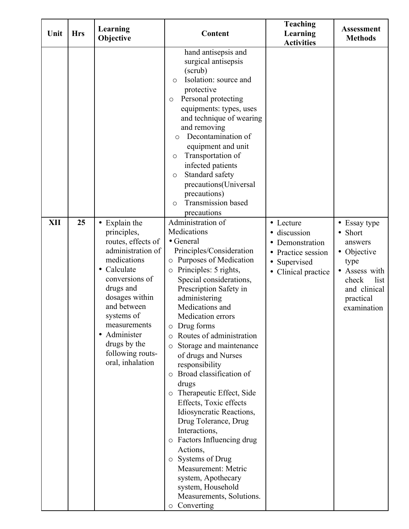| Unit       | <b>Hrs</b> | Learning<br>Objective                                                                                                                                                                                                                                                   | Content                                                                                                                                                                                                                                                                                                                                                                                                                                                                                                                                                                                                                                                                                                                                                             | <b>Teaching</b><br>Learning<br><b>Activities</b>                                                                          | <b>Assessment</b><br><b>Methods</b>                                                                                                     |
|------------|------------|-------------------------------------------------------------------------------------------------------------------------------------------------------------------------------------------------------------------------------------------------------------------------|---------------------------------------------------------------------------------------------------------------------------------------------------------------------------------------------------------------------------------------------------------------------------------------------------------------------------------------------------------------------------------------------------------------------------------------------------------------------------------------------------------------------------------------------------------------------------------------------------------------------------------------------------------------------------------------------------------------------------------------------------------------------|---------------------------------------------------------------------------------------------------------------------------|-----------------------------------------------------------------------------------------------------------------------------------------|
|            |            |                                                                                                                                                                                                                                                                         | hand antisepsis and<br>surgical antisepsis<br>(scrub)<br>Isolation: source and<br>$\circ$<br>protective<br>Personal protecting<br>$\circ$<br>equipments: types, uses<br>and technique of wearing<br>and removing<br>Decontamination of<br>$\circ$<br>equipment and unit<br>Transportation of<br>$\circ$<br>infected patients<br>Standard safety<br>$\circ$<br>precautions(Universal<br>precautions)<br><b>Transmission</b> based<br>$\circ$<br>precautions                                                                                                                                                                                                                                                                                                          |                                                                                                                           |                                                                                                                                         |
| <b>XII</b> | 25         | • Explain the<br>principles,<br>routes, effects of<br>administration of<br>medications<br>Calculate<br>conversions of<br>drugs and<br>dosages within<br>and between<br>systems of<br>measurements<br>Administer<br>drugs by the<br>following routs-<br>oral, inhalation | Administration of<br>Medications<br>• General<br>Principles/Consideration<br>o Purposes of Medication<br>Principles: 5 rights,<br>$\circ$<br>Special considerations,<br>Prescription Safety in<br>administering<br>Medications and<br><b>Medication</b> errors<br>$\circ$ Drug forms<br>Routes of administration<br>$\circ$<br>Storage and maintenance<br>$\circ$<br>of drugs and Nurses<br>responsibility<br>Broad classification of<br>$\circ$<br>drugs<br>o Therapeutic Effect, Side<br>Effects, Toxic effects<br>Idiosyncratic Reactions,<br>Drug Tolerance, Drug<br>Interactions,<br>o Factors Influencing drug<br>Actions,<br>o Systems of Drug<br>Measurement: Metric<br>system, Apothecary<br>system, Household<br>Measurements, Solutions.<br>o Converting | • Lecture<br>discussion<br>Demonstration<br>Practice session<br>$\bullet$<br>Supervised<br>Clinical practice<br>$\bullet$ | • Essay type<br>• Short<br>answers<br>• Objective<br>type<br>• Assess with<br>check<br>list<br>and clinical<br>practical<br>examination |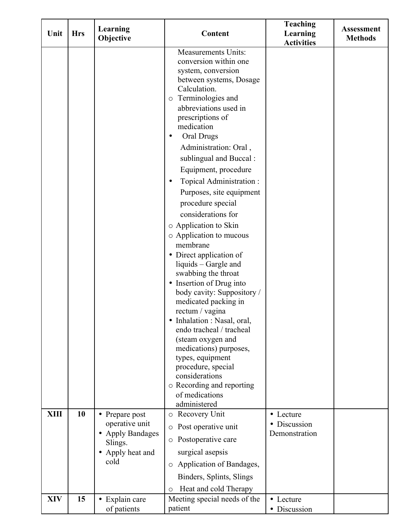| Unit        | <b>Hrs</b> | Learning                                                                                       | <b>Content</b>                                                                                                                                                                                                                                                                                                                                                                                                                                                                                                                                                                                                                                                                                                                                                                                                                                                                      | <b>Teaching</b><br>Learning              | <b>Assessment</b> |
|-------------|------------|------------------------------------------------------------------------------------------------|-------------------------------------------------------------------------------------------------------------------------------------------------------------------------------------------------------------------------------------------------------------------------------------------------------------------------------------------------------------------------------------------------------------------------------------------------------------------------------------------------------------------------------------------------------------------------------------------------------------------------------------------------------------------------------------------------------------------------------------------------------------------------------------------------------------------------------------------------------------------------------------|------------------------------------------|-------------------|
|             |            | Objective                                                                                      |                                                                                                                                                                                                                                                                                                                                                                                                                                                                                                                                                                                                                                                                                                                                                                                                                                                                                     | <b>Activities</b>                        | <b>Methods</b>    |
|             |            |                                                                                                | <b>Measurements Units:</b><br>conversion within one<br>system, conversion<br>between systems, Dosage<br>Calculation.<br>o Terminologies and<br>abbreviations used in<br>prescriptions of<br>medication<br>Oral Drugs<br>Administration: Oral,<br>sublingual and Buccal:<br>Equipment, procedure<br>Topical Administration:<br>Purposes, site equipment<br>procedure special<br>considerations for<br>o Application to Skin<br>o Application to mucous<br>membrane<br>• Direct application of<br>liquids - Gargle and<br>swabbing the throat<br>• Insertion of Drug into<br>body cavity: Suppository /<br>medicated packing in<br>rectum / vagina<br>Inhalation : Nasal, oral,<br>endo tracheal / tracheal<br>(steam oxygen and<br>medications) purposes,<br>types, equipment<br>procedure, special<br>considerations<br>o Recording and reporting<br>of medications<br>administered |                                          |                   |
| <b>XIII</b> | 10         | • Prepare post<br>operative unit<br><b>Apply Bandages</b><br>Slings.<br>Apply heat and<br>cold | o Recovery Unit<br>Post operative unit<br>$\circ$<br>o Postoperative care<br>surgical asepsis<br>o Application of Bandages,<br>Binders, Splints, Slings<br>Heat and cold Therapy<br>$\circ$                                                                                                                                                                                                                                                                                                                                                                                                                                                                                                                                                                                                                                                                                         | • Lecture<br>Discussion<br>Demonstration |                   |
| <b>XIV</b>  | 15         | • Explain care<br>of patients                                                                  | Meeting special needs of the<br>patient                                                                                                                                                                                                                                                                                                                                                                                                                                                                                                                                                                                                                                                                                                                                                                                                                                             | • Lecture<br>Discussion                  |                   |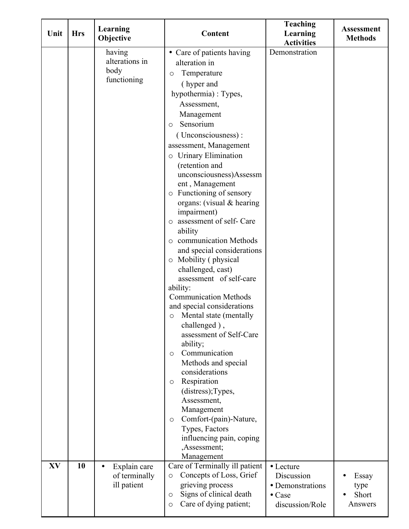| Unit | <b>Hrs</b> | Learning<br>Objective                      | Content                                                              | <b>Teaching</b><br>Learning<br><b>Activities</b> | <b>Assessment</b><br><b>Methods</b> |
|------|------------|--------------------------------------------|----------------------------------------------------------------------|--------------------------------------------------|-------------------------------------|
|      |            | having                                     | • Care of patients having                                            | Demonstration                                    |                                     |
|      |            | alterations in                             | alteration in                                                        |                                                  |                                     |
|      |            | body                                       | Temperature<br>O                                                     |                                                  |                                     |
|      |            | functioning                                | (hyper and                                                           |                                                  |                                     |
|      |            |                                            | hypothermia): Types,                                                 |                                                  |                                     |
|      |            |                                            | Assessment,                                                          |                                                  |                                     |
|      |            |                                            | Management                                                           |                                                  |                                     |
|      |            |                                            | Sensorium<br>$\circ$                                                 |                                                  |                                     |
|      |            |                                            | (Unconsciousness):                                                   |                                                  |                                     |
|      |            |                                            | assessment, Management                                               |                                                  |                                     |
|      |            |                                            | o Urinary Elimination                                                |                                                  |                                     |
|      |            |                                            | (retention and                                                       |                                                  |                                     |
|      |            |                                            | unconsciousness)Assessm                                              |                                                  |                                     |
|      |            |                                            | ent, Management<br>o Functioning of sensory                          |                                                  |                                     |
|      |            |                                            | organs: (visual $&$ hearing                                          |                                                  |                                     |
|      |            |                                            | impairment)                                                          |                                                  |                                     |
|      |            |                                            | o assessment of self- Care                                           |                                                  |                                     |
|      |            |                                            | ability                                                              |                                                  |                                     |
|      |            |                                            | o communication Methods                                              |                                                  |                                     |
|      |            |                                            | and special considerations                                           |                                                  |                                     |
|      |            |                                            | $\circ$ Mobility (physical                                           |                                                  |                                     |
|      |            |                                            | challenged, cast)                                                    |                                                  |                                     |
|      |            |                                            | assessment of self-care                                              |                                                  |                                     |
|      |            |                                            | ability:<br><b>Communication Methods</b>                             |                                                  |                                     |
|      |            |                                            | and special considerations                                           |                                                  |                                     |
|      |            |                                            | o Mental state (mentally                                             |                                                  |                                     |
|      |            |                                            | challenged),                                                         |                                                  |                                     |
|      |            |                                            | assessment of Self-Care                                              |                                                  |                                     |
|      |            |                                            | ability;                                                             |                                                  |                                     |
|      |            |                                            | Communication<br>$\circ$                                             |                                                  |                                     |
|      |            |                                            | Methods and special                                                  |                                                  |                                     |
|      |            |                                            | considerations                                                       |                                                  |                                     |
|      |            |                                            | Respiration<br>$\circ$<br>(distress); Types,                         |                                                  |                                     |
|      |            |                                            | Assessment,                                                          |                                                  |                                     |
|      |            |                                            | Management                                                           |                                                  |                                     |
|      |            |                                            | Comfort-(pain)-Nature,<br>$\circ$                                    |                                                  |                                     |
|      |            |                                            | Types, Factors                                                       |                                                  |                                     |
|      |            |                                            | influencing pain, coping                                             |                                                  |                                     |
|      |            |                                            | ,Assessment;                                                         |                                                  |                                     |
|      |            |                                            | Management                                                           |                                                  |                                     |
| XV   | 10         | Explain care<br>$\bullet$<br>of terminally | Care of Terminally ill patient<br>Concepts of Loss, Grief<br>$\circ$ | $\bullet$ Lecture<br>Discussion                  |                                     |
|      |            | ill patient                                | grieving process                                                     | • Demonstrations                                 | Essay<br>type                       |
|      |            |                                            | Signs of clinical death<br>$\circ$                                   | $\bullet$ Case                                   | Short                               |
|      |            |                                            | Care of dying patient;<br>$\circ$                                    | discussion/Role                                  | Answers                             |
|      |            |                                            |                                                                      |                                                  |                                     |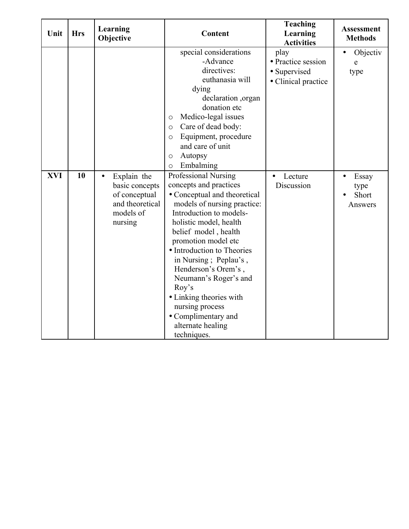| Unit       | <b>Hrs</b> | Learning<br>Objective                                                                                  | Content                                                                                                                                                                                                                                                                                                                                                                                                                                    | <b>Teaching</b><br>Learning<br><b>Activities</b>                  | <b>Assessment</b><br><b>Methods</b>            |
|------------|------------|--------------------------------------------------------------------------------------------------------|--------------------------------------------------------------------------------------------------------------------------------------------------------------------------------------------------------------------------------------------------------------------------------------------------------------------------------------------------------------------------------------------------------------------------------------------|-------------------------------------------------------------------|------------------------------------------------|
|            |            |                                                                                                        | special considerations<br>-Advance<br>directives:<br>euthanasia will<br>dying<br>declaration ,organ<br>donation etc<br>Medico-legal issues<br>$\circ$<br>Care of dead body:<br>$\circ$<br>Equipment, procedure<br>$\circ$<br>and care of unit<br>Autopsy<br>$\circ$<br>Embalming<br>$\circ$                                                                                                                                                | play<br>• Practice session<br>• Supervised<br>• Clinical practice | Objectiv<br>e<br>type                          |
| <b>XVI</b> | 10         | Explain the<br>$\bullet$<br>basic concepts<br>of conceptual<br>and theoretical<br>models of<br>nursing | Professional Nursing<br>concepts and practices<br>• Conceptual and theoretical<br>models of nursing practice:<br>Introduction to models-<br>holistic model, health<br>belief model, health<br>promotion model etc<br>• Introduction to Theories<br>in Nursing; Peplau's,<br>Henderson's Orem's,<br>Neumann's Roger's and<br>Roy's<br>• Linking theories with<br>nursing process<br>• Complimentary and<br>alternate healing<br>techniques. | Lecture<br>$\bullet$<br>Discussion                                | Essay<br>$\bullet$<br>type<br>Short<br>Answers |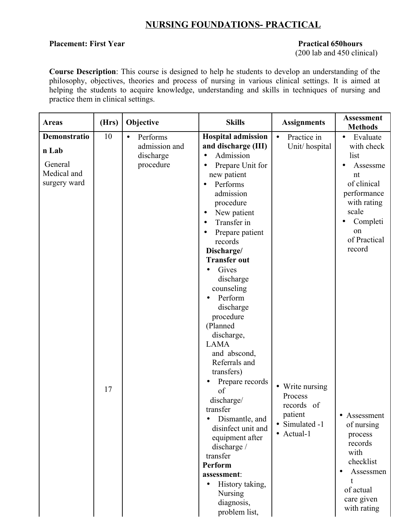#### **NURSING FOUNDATIONS- PRACTICAL**

#### **Placement: First Year Practical 650hours**

(200 lab and 450 clinical)

**Course Description**: This course is designed to help he students to develop an understanding of the philosophy, objectives, theories and process of nursing in various clinical settings. It is aimed at helping the students to acquire knowledge, understanding and skills in techniques of nursing and practice them in clinical settings.

| <b>Areas</b>                                                    | (Hrs) | Objective                                                        | <b>Skills</b>                                                                                                                                                                                                                                                                                                                                                                                                                                   | <b>Assignments</b>                                                                  | <b>Assessment</b><br><b>Methods</b>                                                                                                       |
|-----------------------------------------------------------------|-------|------------------------------------------------------------------|-------------------------------------------------------------------------------------------------------------------------------------------------------------------------------------------------------------------------------------------------------------------------------------------------------------------------------------------------------------------------------------------------------------------------------------------------|-------------------------------------------------------------------------------------|-------------------------------------------------------------------------------------------------------------------------------------------|
| Demonstratio<br>n Lab<br>General<br>Medical and<br>surgery ward | 10    | Performs<br>$\bullet$<br>admission and<br>discharge<br>procedure | <b>Hospital admission</b><br>and discharge (III)<br>Admission<br>Prepare Unit for<br>new patient<br>Performs<br>admission<br>procedure<br>New patient<br>Transfer in                                                                                                                                                                                                                                                                            | Practice in<br>$\bullet$<br>Unit/hospital                                           | Evaluate<br>$\bullet$<br>with check<br>list<br>Assessme<br>nt<br>of clinical<br>performance<br>with rating<br>scale<br>Completi           |
|                                                                 |       |                                                                  | Prepare patient<br>records                                                                                                                                                                                                                                                                                                                                                                                                                      |                                                                                     | on<br>of Practical                                                                                                                        |
|                                                                 | 17    |                                                                  | Discharge/<br><b>Transfer out</b><br>Gives<br>discharge<br>counseling<br>Perform<br>discharge<br>procedure<br>(Planned<br>discharge,<br><b>LAMA</b><br>and abscond,<br>Referrals and<br>transfers)<br>Prepare records<br>of<br>discharge/<br>transfer<br>Dismantle, and<br>$\bullet$<br>disinfect unit and<br>equipment after<br>discharge /<br>transfer<br>Perform<br>assessment:<br>History taking,<br>Nursing<br>diagnosis,<br>problem list, | • Write nursing<br>Process<br>records of<br>patient<br>• Simulated -1<br>• Actual-1 | record<br>Assessment<br>of nursing<br>process<br>records<br>with<br>checklist<br>Assessmen<br>t<br>of actual<br>care given<br>with rating |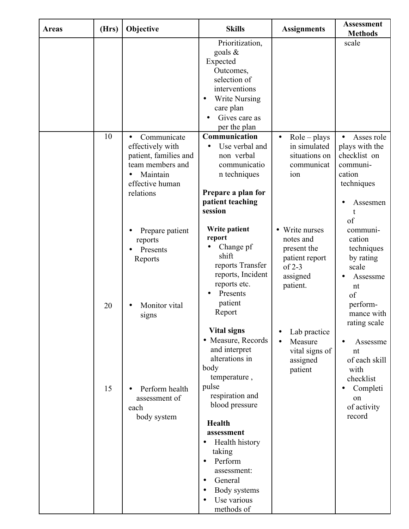| <b>Areas</b> | (Hrs) | Objective                                                                                                                             | <b>Skills</b>                                                                                                                                                                  | <b>Assignments</b>                                                                                          | <b>Assessment</b><br><b>Methods</b>                                                                               |
|--------------|-------|---------------------------------------------------------------------------------------------------------------------------------------|--------------------------------------------------------------------------------------------------------------------------------------------------------------------------------|-------------------------------------------------------------------------------------------------------------|-------------------------------------------------------------------------------------------------------------------|
|              |       |                                                                                                                                       | Prioritization,<br>goals $\&$<br>Expected<br>Outcomes,<br>selection of<br>interventions<br><b>Write Nursing</b><br>care plan<br>Gives care as<br>per the plan                  |                                                                                                             | scale                                                                                                             |
|              | 10    | Communicate<br>$\bullet$<br>effectively with<br>patient, families and<br>team members and<br>Maintain<br>effective human<br>relations | Communication<br>Use verbal and<br>non verbal<br>communicatio<br>n techniques<br>Prepare a plan for<br>patient teaching<br>session                                             | $Role$ – plays<br>$\bullet$<br>in simulated<br>situations on<br>communicat<br>ion                           | Asses role<br>$\bullet$<br>plays with the<br>checklist on<br>communi-<br>cation<br>techniques<br>Assesmen         |
|              | 20    | Prepare patient<br>reports<br>Presents<br>Reports<br>Monitor vital                                                                    | Write patient<br>report<br>Change pf<br>shift<br>reports Transfer<br>reports, Incident<br>reports etc.<br>Presents<br>patient                                                  | Write nurses<br>$\bullet$<br>notes and<br>present the<br>patient report<br>$of 2-3$<br>assigned<br>patient. | of<br>communi-<br>cation<br>techniques<br>by rating<br>scale<br>Assessme<br>nt<br>of<br>perform-                  |
|              | 15    | signs<br>Perform health<br>assessment of                                                                                              | Report<br><b>Vital signs</b><br>• Measure, Records<br>and interpret<br>alterations in<br>body<br>temperature,<br>pulse<br>respiration and                                      | Lab practice<br>Measure<br>$\bullet$<br>vital signs of<br>assigned<br>patient                               | mance with<br>rating scale<br>Assessme<br>nt<br>of each skill<br>with<br>checklist<br>Completi<br>$\bullet$<br>on |
|              |       | each<br>body system                                                                                                                   | blood pressure<br>Health<br>assessment<br>Health history<br>taking<br>Perform<br>$\bullet$<br>assessment:<br>General<br>$\bullet$<br>Body systems<br>Use various<br>methods of |                                                                                                             | of activity<br>record                                                                                             |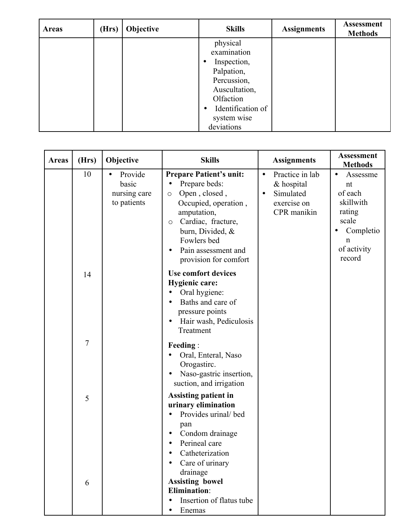| <b>Areas</b> | (Hrs) | Objective | <b>Skills</b>                  | <b>Assignments</b> | <b>Assessment</b><br><b>Methods</b> |
|--------------|-------|-----------|--------------------------------|--------------------|-------------------------------------|
|              |       |           | physical                       |                    |                                     |
|              |       |           | examination                    |                    |                                     |
|              |       |           | Inspection,                    |                    |                                     |
|              |       |           | Palpation,                     |                    |                                     |
|              |       |           | Percussion,                    |                    |                                     |
|              |       |           | Auscultation,                  |                    |                                     |
|              |       |           | Olfaction                      |                    |                                     |
|              |       |           | Identification of<br>$\bullet$ |                    |                                     |
|              |       |           | system wise                    |                    |                                     |
|              |       |           | deviations                     |                    |                                     |

| <b>Areas</b> | (Hrs)          | Objective                                                    | <b>Skills</b>                                                                                                                                                                                                                                                    | <b>Assignments</b>                                                                                 | <b>Assessment</b><br><b>Methods</b>                                                                            |
|--------------|----------------|--------------------------------------------------------------|------------------------------------------------------------------------------------------------------------------------------------------------------------------------------------------------------------------------------------------------------------------|----------------------------------------------------------------------------------------------------|----------------------------------------------------------------------------------------------------------------|
|              | 10             | Provide<br>$\bullet$<br>basic<br>nursing care<br>to patients | <b>Prepare Patient's unit:</b><br>Prepare beds:<br>$\bullet$<br>Open, closed,<br>$\circ$<br>Occupied, operation,<br>amputation,<br>Cardiac, fracture,<br>$\circ$<br>burn, Divided, &<br>Fowlers bed<br>Pain assessment and<br>$\bullet$<br>provision for comfort | Practice in lab<br>$\bullet$<br>& hospital<br>Simulated<br>$\bullet$<br>exercise on<br>CPR manikin | Assessme<br>nt<br>of each<br>skillwith<br>rating<br>scale<br>Completio<br>$\mathbf n$<br>of activity<br>record |
|              | 14             |                                                              | <b>Use comfort devices</b><br><b>Hygienic care:</b><br>Oral hygiene:<br>$\bullet$<br>Baths and care of<br>$\bullet$<br>pressure points<br>Hair wash, Pediculosis<br>$\bullet$<br>Treatment                                                                       |                                                                                                    |                                                                                                                |
|              | $\overline{7}$ |                                                              | <b>Feeding:</b><br>Oral, Enteral, Naso<br>Orogastirc.<br>Naso-gastric insertion,<br>suction, and irrigation                                                                                                                                                      |                                                                                                    |                                                                                                                |
|              | 5              |                                                              | Assisting patient in<br>urinary elimination<br>Provides urinal/bed<br>pan<br>Condom drainage<br>Perineal care<br>Catheterization<br>Care of urinary<br>drainage                                                                                                  |                                                                                                    |                                                                                                                |
|              | 6              |                                                              | <b>Assisting bowel</b><br><b>Elimination:</b><br>Insertion of flatus tube<br>Enemas                                                                                                                                                                              |                                                                                                    |                                                                                                                |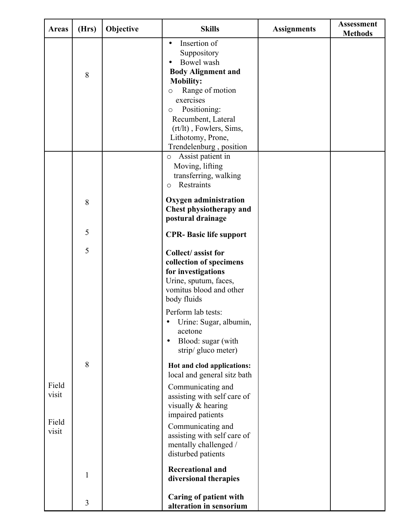| <b>Areas</b>            | (Hrs)          | Objective | <b>Skills</b>                                                                                                                                                                                                                                                                  | <b>Assignments</b> | <b>Assessment</b><br><b>Methods</b> |
|-------------------------|----------------|-----------|--------------------------------------------------------------------------------------------------------------------------------------------------------------------------------------------------------------------------------------------------------------------------------|--------------------|-------------------------------------|
|                         | 8              |           | Insertion of<br>$\bullet$<br>Suppository<br>Bowel wash<br><b>Body Alignment and</b><br><b>Mobility:</b><br>Range of motion<br>$\circ$<br>exercises<br>Positioning:<br>$\circ$<br>Recumbent, Lateral<br>(rt/lt), Fowlers, Sims,<br>Lithotomy, Prone,<br>Trendelenburg, position |                    |                                     |
|                         |                |           | Assist patient in<br>$\circ$<br>Moving, lifting<br>transferring, walking<br>Restraints<br>$\circ$                                                                                                                                                                              |                    |                                     |
|                         | 8              |           | <b>Oxygen administration</b><br><b>Chest physiotherapy and</b><br>postural drainage                                                                                                                                                                                            |                    |                                     |
|                         | 5              |           | <b>CPR- Basic life support</b>                                                                                                                                                                                                                                                 |                    |                                     |
|                         | 5              |           | Collect/assist for<br>collection of specimens<br>for investigations<br>Urine, sputum, faces,<br>vomitus blood and other<br>body fluids                                                                                                                                         |                    |                                     |
|                         |                |           | Perform lab tests:<br>Urine: Sugar, albumin,<br>$\bullet$<br>acetone<br>Blood: sugar (with<br>$\bullet$<br>strip/gluco meter)                                                                                                                                                  |                    |                                     |
|                         | $8\,$          |           | Hot and clod applications:<br>local and general sitz bath                                                                                                                                                                                                                      |                    |                                     |
| Field<br>visit<br>Field |                |           | Communicating and<br>assisting with self care of<br>visually & hearing<br>impaired patients                                                                                                                                                                                    |                    |                                     |
| visit                   |                |           | Communicating and<br>assisting with self care of<br>mentally challenged /<br>disturbed patients                                                                                                                                                                                |                    |                                     |
|                         | $\mathbf{1}$   |           | <b>Recreational and</b><br>diversional therapies                                                                                                                                                                                                                               |                    |                                     |
|                         | $\overline{3}$ |           | <b>Caring of patient with</b><br>alteration in sensorium                                                                                                                                                                                                                       |                    |                                     |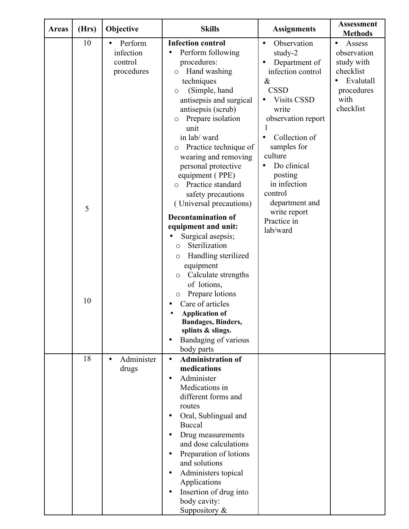| <b>Areas</b> | (Hrs)   | Objective                                                  | <b>Skills</b>                                                                                                                                                                                                                                                                                                                                                                                                                                                                                                                                                                                                                           | <b>Assignments</b>                                                                                                                                                                                                                                                                                                                           | <b>Assessment</b><br><b>Methods</b>                                                                           |
|--------------|---------|------------------------------------------------------------|-----------------------------------------------------------------------------------------------------------------------------------------------------------------------------------------------------------------------------------------------------------------------------------------------------------------------------------------------------------------------------------------------------------------------------------------------------------------------------------------------------------------------------------------------------------------------------------------------------------------------------------------|----------------------------------------------------------------------------------------------------------------------------------------------------------------------------------------------------------------------------------------------------------------------------------------------------------------------------------------------|---------------------------------------------------------------------------------------------------------------|
|              | 10<br>5 | Perform<br>$\bullet$<br>infection<br>control<br>procedures | <b>Infection control</b><br>Perform following<br>$\bullet$<br>procedures:<br>Hand washing<br>$\circ$<br>techniques<br>(Simple, hand<br>O<br>antisepsis and surgical<br>antisepsis (scrub)<br>Prepare isolation<br>$\circ$<br>unit<br>in lab/ward<br>Practice technique of<br>$\circ$<br>wearing and removing<br>personal protective<br>equipment (PPE)<br>Practice standard<br>$\Omega$<br>safety precautions<br>(Universal precautions)<br><b>Decontamination of</b><br>equipment and unit:<br>Surgical asepsis;<br>Sterilization<br>$\circ$<br>Handling sterilized<br>O<br>equipment<br>Calculate strengths<br>$\circ$<br>of lotions, | Observation<br>$\bullet$<br>study-2<br>Department of<br>infection control<br>$\&$<br><b>CSSD</b><br><b>Visits CSSD</b><br>$\bullet$<br>write<br>observation report<br>Collection of<br>$\bullet$<br>samples for<br>culture<br>Do clinical<br>posting<br>in infection<br>control<br>department and<br>write report<br>Practice in<br>lab/ward | Assess<br>$\bullet$<br>observation<br>study with<br>checklist<br>Evalutall<br>procedures<br>with<br>checklist |
|              | 10      |                                                            | Prepare lotions<br>O<br>Care of articles<br><b>Application of</b><br><b>Bandages, Binders,</b><br>splints & slings.<br>Bandaging of various<br>$\bullet$<br>body parts                                                                                                                                                                                                                                                                                                                                                                                                                                                                  |                                                                                                                                                                                                                                                                                                                                              |                                                                                                               |
|              | 18      | Administer<br>$\bullet$<br>drugs                           | <b>Administration of</b><br>$\bullet$<br>medications<br>Administer<br>$\bullet$<br>Medications in<br>different forms and<br>routes<br>Oral, Sublingual and<br>$\bullet$<br><b>Buccal</b><br>Drug measurements<br>and dose calculations<br>Preparation of lotions<br>and solutions<br>Administers topical<br>$\bullet$<br>Applications<br>Insertion of drug into<br>$\bullet$<br>body cavity:<br>Suppository $\&$                                                                                                                                                                                                                        |                                                                                                                                                                                                                                                                                                                                              |                                                                                                               |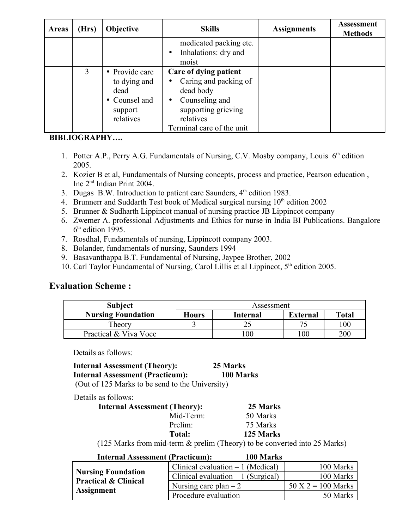| <b>Areas</b> | (Hrs) | <b>Objective</b>                                                                | <b>Skills</b>                                                                                                                                                            | <b>Assignments</b> | <b>Assessment</b><br><b>Methods</b> |
|--------------|-------|---------------------------------------------------------------------------------|--------------------------------------------------------------------------------------------------------------------------------------------------------------------------|--------------------|-------------------------------------|
|              |       |                                                                                 | medicated packing etc.<br>Inhalations: dry and<br>$\bullet$<br>moist                                                                                                     |                    |                                     |
|              | 3     | • Provide care<br>to dying and<br>dead<br>• Counsel and<br>support<br>relatives | Care of dying patient<br>Caring and packing of<br>$\bullet$<br>dead body<br>Counseling and<br>$\bullet$<br>supporting grieving<br>relatives<br>Terminal care of the unit |                    |                                     |

#### **BIBLIOGRAPHY….**

- 1. Potter A.P., Perry A.G. Fundamentals of Nursing, C.V. Mosby company, Louis 6<sup>th</sup> edition 2005.
- 2. Kozier B et al, Fundamentals of Nursing concepts, process and practice, Pearson education , Inc 2nd Indian Print 2004.
- 3. Dugas B.W. Introduction to patient care Saunders,  $4<sup>th</sup>$  edition 1983.
- 4. Brunnerr and Suddarth Test book of Medical surgical nursing 10<sup>th</sup> edition 2002
- 5. Brunner & Sudharth Lippincot manual of nursing practice JB Lippincot company
- 6. Zwemer A. professional Adjustments and Ethics for nurse in India BI Publications. Bangalore 6 th edition 1995.
- 7. Rosdhal, Fundamentals of nursing, Lippincott company 2003.
- 8. Bolander, fundamentals of nursing, Saunders 1994
- 9. Basavanthappa B.T. Fundamental of Nursing, Jaypee Brother, 2002
- 10. Carl Taylor Fundamental of Nursing, Carol Lillis et al Lippincot, 5<sup>th</sup> edition 2005.

#### **Evaluation Scheme :**

| Subject                   | Assessment   |          |                 |              |  |
|---------------------------|--------------|----------|-----------------|--------------|--|
| <b>Nursing Foundation</b> | <b>Hours</b> | Internal | <b>External</b> | <b>Total</b> |  |
| Theory                    |              |          |                 | 100          |  |
| Practical & Viva Voce     |              | 00       | 00              | 200          |  |

Details as follows:

#### **Internal Assessment (Theory): 25 Marks Internal Assessment (Practicum): 100 Marks**

(Out of 125 Marks to be send to the University)

Details as follows:

| <b>Internal Assessment (Theory):</b>                                          | 25 Marks  |  |
|-------------------------------------------------------------------------------|-----------|--|
| Mid-Term:                                                                     | 50 Marks  |  |
| Prelim:                                                                       | 75 Marks  |  |
| Total:                                                                        | 125 Marks |  |
| $(125 \text{ M})$ called from usid to see Reproduce (Theorem) to be converted |           |  |

(125 Marks from mid-term & prelim (Theory) to be converted into 25 Marks)

| <b>Internal Assessment (Practicum):</b>                      | 100 Marks                           |                      |
|--------------------------------------------------------------|-------------------------------------|----------------------|
| <b>Nursing Foundation</b><br><b>Practical &amp; Clinical</b> | Clinical evaluation $-1$ (Medical)  | 100 Marks            |
|                                                              | Clinical evaluation $-1$ (Surgical) | 100 Marks            |
|                                                              | Nursing care plan $-2$              | $50 X 2 = 100 Marks$ |
| <b>Assignment</b>                                            | Procedure evaluation                | 50 Marks             |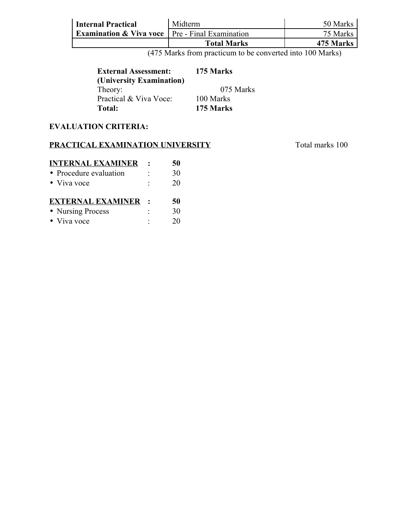| <b>Internal Practical</b>                                          | Midterm            | 50 Marks  |  |
|--------------------------------------------------------------------|--------------------|-----------|--|
| <b>Examination &amp; Viva voce</b> $\vert$ Pre - Final Examination |                    | 75 Marks  |  |
|                                                                    | <b>Total Marks</b> | 475 Marks |  |

(475 Marks from practicum to be converted into 100 Marks)

| <b>External Assessment:</b> | 175 Marks |
|-----------------------------|-----------|
| (University Examination)    |           |
| Theory:                     | 075 Marks |
| Practical & Viva Voce:      | 100 Marks |
| <b>Total:</b>               | 175 Marks |

#### **EVALUATION CRITERIA:**

#### **PRACTICAL EXAMINATION UNIVERSITY** Total marks 100

**INTERNAL EXAMINER : 50** • Procedure evaluation : 30 • Viva voce : 20 **EXTERNAL EXAMINER : 50** • Nursing Process : 30

• Viva voce : 20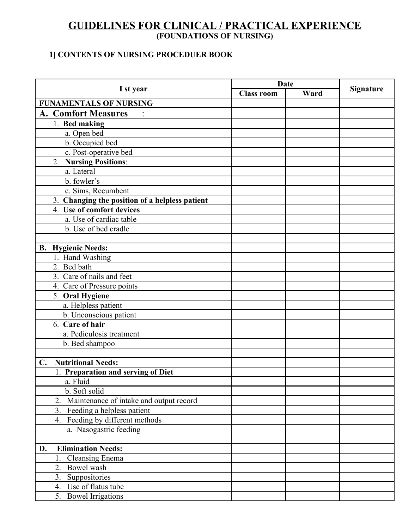#### **GUIDELINES FOR CLINICAL / PRACTICAL EXPERIENCE (FOUNDATIONS OF NURSING)**

#### **1] CONTENTS OF NURSING PROCEDUER BOOK**

|                                                |                      | <b>Date</b>       |      |                  |
|------------------------------------------------|----------------------|-------------------|------|------------------|
|                                                | I st year            | <b>Class room</b> | Ward | <b>Signature</b> |
| <b>FUNAMENTALS OF NURSING</b>                  |                      |                   |      |                  |
| <b>A. Comfort Measures</b>                     | $\ddot{\phantom{a}}$ |                   |      |                  |
| 1. Bed making                                  |                      |                   |      |                  |
| a. Open bed                                    |                      |                   |      |                  |
| b. Occupied bed                                |                      |                   |      |                  |
| c. Post-operative bed                          |                      |                   |      |                  |
| 2. Nursing Positions:                          |                      |                   |      |                  |
| a. Lateral                                     |                      |                   |      |                  |
| b. fowler's                                    |                      |                   |      |                  |
| c. Sims, Recumbent                             |                      |                   |      |                  |
| 3. Changing the position of a helpless patient |                      |                   |      |                  |
| 4. Use of comfort devices                      |                      |                   |      |                  |
| a. Use of cardiac table                        |                      |                   |      |                  |
| b. Use of bed cradle                           |                      |                   |      |                  |
|                                                |                      |                   |      |                  |
| <b>B.</b> Hygienic Needs:                      |                      |                   |      |                  |
| 1. Hand Washing                                |                      |                   |      |                  |
| 2. Bed bath                                    |                      |                   |      |                  |
| 3. Care of nails and feet                      |                      |                   |      |                  |
| 4. Care of Pressure points                     |                      |                   |      |                  |
| 5. Oral Hygiene                                |                      |                   |      |                  |
| a. Helpless patient                            |                      |                   |      |                  |
| b. Unconscious patient                         |                      |                   |      |                  |
| 6. Care of hair                                |                      |                   |      |                  |
| a. Pediculosis treatment                       |                      |                   |      |                  |
| b. Bed shampoo                                 |                      |                   |      |                  |
|                                                |                      |                   |      |                  |
| <b>Nutritional Needs:</b><br>$\mathbf{C}$ .    |                      |                   |      |                  |
| 1. Preparation and serving of Diet             |                      |                   |      |                  |
| a. Fluid                                       |                      |                   |      |                  |
| b. Soft solid                                  |                      |                   |      |                  |
| 2. Maintenance of intake and output record     |                      |                   |      |                  |
| 3. Feeding a helpless patient                  |                      |                   |      |                  |
| Feeding by different methods<br>4.             |                      |                   |      |                  |
| a. Nasogastric feeding                         |                      |                   |      |                  |
|                                                |                      |                   |      |                  |
| <b>Elimination Needs:</b><br>D.                |                      |                   |      |                  |
| <b>Cleansing Enema</b><br>$1_{\cdot}$          |                      |                   |      |                  |
| Bowel wash<br>2.                               |                      |                   |      |                  |
| 3.<br>Suppositories                            |                      |                   |      |                  |
| 4. Use of flatus tube                          |                      |                   |      |                  |
| 5. Bowel Irrigations                           |                      |                   |      |                  |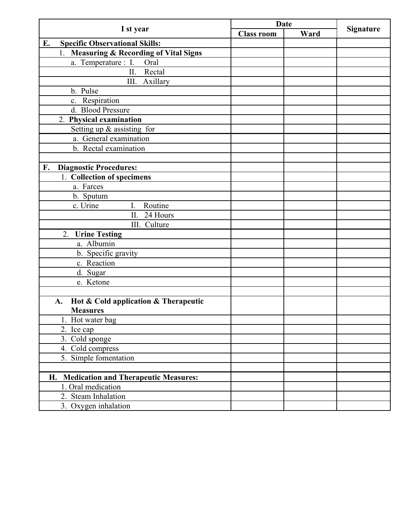|                                                       | <b>Date</b>       |      |                  |
|-------------------------------------------------------|-------------------|------|------------------|
| I st year                                             | <b>Class room</b> | Ward | <b>Signature</b> |
| <b>Specific Observational Skills:</b><br>E.           |                   |      |                  |
| <b>Measuring &amp; Recording of Vital Signs</b><br>1. |                   |      |                  |
| a. Temperature : I.<br>Oral                           |                   |      |                  |
| Rectal<br>II.                                         |                   |      |                  |
| III. Axillary                                         |                   |      |                  |
| b. Pulse                                              |                   |      |                  |
| c. Respiration                                        |                   |      |                  |
| d. Blood Pressure                                     |                   |      |                  |
| 2. Physical examination                               |                   |      |                  |
| Setting up $\&$ assisting for                         |                   |      |                  |
| a. General examination                                |                   |      |                  |
| b. Rectal examination                                 |                   |      |                  |
|                                                       |                   |      |                  |
| F.<br><b>Diagnostic Procedures:</b>                   |                   |      |                  |
| 1. Collection of specimens                            |                   |      |                  |
| a. Farces                                             |                   |      |                  |
| b. Sputum                                             |                   |      |                  |
| Routine<br>c. Urine<br>I.                             |                   |      |                  |
| 24 Hours<br>II.                                       |                   |      |                  |
| III. Culture                                          |                   |      |                  |
| <b>Urine Testing</b><br>2.                            |                   |      |                  |
| a. Albumin                                            |                   |      |                  |
| b. Specific gravity                                   |                   |      |                  |
| c. Reaction                                           |                   |      |                  |
| d. Sugar                                              |                   |      |                  |
| e. Ketone                                             |                   |      |                  |
|                                                       |                   |      |                  |
| Hot & Cold application & Therapeutic<br>A.            |                   |      |                  |
| <b>Measures</b>                                       |                   |      |                  |
| 1. Hot water bag                                      |                   |      |                  |
| 2. Ice cap                                            |                   |      |                  |
| 3. Cold sponge                                        |                   |      |                  |
| 4. Cold compress                                      |                   |      |                  |
| 5. Simple fomentation                                 |                   |      |                  |
|                                                       |                   |      |                  |
| H. Medication and Therapeutic Measures:               |                   |      |                  |
| 1. Oral medication                                    |                   |      |                  |
| 2. Steam Inhalation                                   |                   |      |                  |
| 3. Oxygen inhalation                                  |                   |      |                  |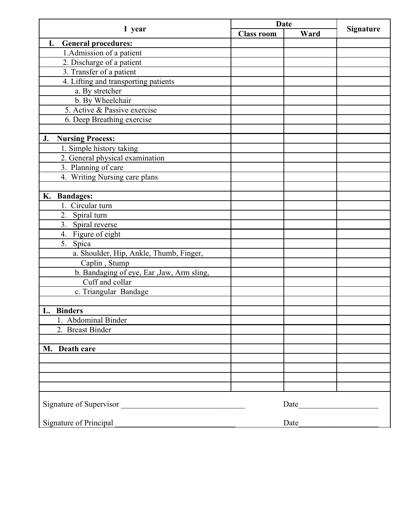|                                            | <b>Date</b>       |                                                                                                                                                                                                                               |                  |
|--------------------------------------------|-------------------|-------------------------------------------------------------------------------------------------------------------------------------------------------------------------------------------------------------------------------|------------------|
| I year                                     | <b>Class room</b> | Ward                                                                                                                                                                                                                          | <b>Signature</b> |
| I.<br><b>General procedures:</b>           |                   |                                                                                                                                                                                                                               |                  |
| 1. Admission of a patient                  |                   |                                                                                                                                                                                                                               |                  |
| 2. Discharge of a patient                  |                   |                                                                                                                                                                                                                               |                  |
| 3. Transfer of a patient                   |                   |                                                                                                                                                                                                                               |                  |
| 4. Lifting and transporting patients       |                   |                                                                                                                                                                                                                               |                  |
| a. By stretcher                            |                   |                                                                                                                                                                                                                               |                  |
| b. By Wheelchair                           |                   |                                                                                                                                                                                                                               |                  |
| 5. Active & Passive exercise               |                   |                                                                                                                                                                                                                               |                  |
| 6. Deep Breathing exercise                 |                   |                                                                                                                                                                                                                               |                  |
|                                            |                   |                                                                                                                                                                                                                               |                  |
| <b>Nursing Process:</b><br>J.              |                   |                                                                                                                                                                                                                               |                  |
| 1. Simple history taking                   |                   |                                                                                                                                                                                                                               |                  |
| 2. General physical examination            |                   |                                                                                                                                                                                                                               |                  |
| 3. Planning of care                        |                   |                                                                                                                                                                                                                               |                  |
| 4. Writing Nursing care plans              |                   |                                                                                                                                                                                                                               |                  |
|                                            |                   |                                                                                                                                                                                                                               |                  |
| <b>Bandages:</b><br>К.                     |                   |                                                                                                                                                                                                                               |                  |
| Circular turn                              |                   |                                                                                                                                                                                                                               |                  |
| 2. Spiral turn                             |                   |                                                                                                                                                                                                                               |                  |
| 3. Spiral reverse                          |                   |                                                                                                                                                                                                                               |                  |
| 4. Figure of eight                         |                   |                                                                                                                                                                                                                               |                  |
| 5. Spica                                   |                   |                                                                                                                                                                                                                               |                  |
| a. Shoulder, Hip, Ankle, Thumb, Finger,    |                   |                                                                                                                                                                                                                               |                  |
| Caplin, Stump                              |                   |                                                                                                                                                                                                                               |                  |
| b. Bandaging of eye, Ear , Jaw, Arm sling, |                   |                                                                                                                                                                                                                               |                  |
| Cuff and collar                            |                   |                                                                                                                                                                                                                               |                  |
| c. Triangular Bandage                      |                   |                                                                                                                                                                                                                               |                  |
|                                            |                   |                                                                                                                                                                                                                               |                  |
| L. Binders                                 |                   |                                                                                                                                                                                                                               |                  |
| 1. Abdominal Binder                        |                   |                                                                                                                                                                                                                               |                  |
| 2. Breast Binder                           |                   |                                                                                                                                                                                                                               |                  |
|                                            |                   |                                                                                                                                                                                                                               |                  |
| M. Death care                              |                   |                                                                                                                                                                                                                               |                  |
|                                            |                   |                                                                                                                                                                                                                               |                  |
|                                            |                   |                                                                                                                                                                                                                               |                  |
|                                            |                   |                                                                                                                                                                                                                               |                  |
|                                            |                   |                                                                                                                                                                                                                               |                  |
|                                            |                   |                                                                                                                                                                                                                               |                  |
| Signature of Supervisor                    |                   | Date and the same state of the state of the state of the state of the state of the state of the state of the state of the state of the state of the state of the state of the state of the state of the state of the state of |                  |
|                                            |                   |                                                                                                                                                                                                                               |                  |
| Signature of Principal                     |                   | Date                                                                                                                                                                                                                          |                  |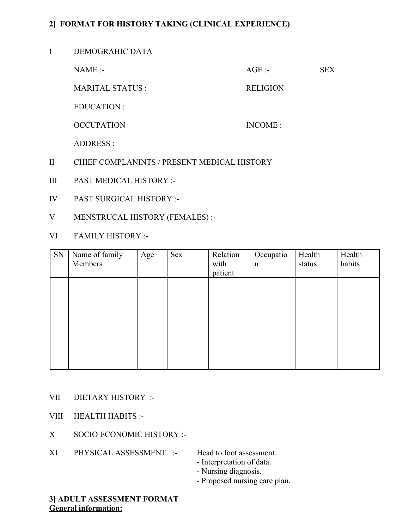#### **2] FORMAT FOR HISTORY TAKING (CLINICAL EXPERIENCE)**

#### I DEMOGRAHIC DATA

NAME :- SEX

MARITAL STATUS : RELIGION

EDUCATION :

OCCUPATION INCOME :

ADDRESS :

- II CHIEF COMPLANINTS / PRESENT MEDICAL HISTORY
- III PAST MEDICAL HISTORY :-
- IV PAST SURGICAL HISTORY :-
- V MENSTRUCAL HISTORY (FEMALES) :-
- VI FAMILY HISTORY :-

| SN | Name of family<br>Members | Age | <b>Sex</b> | Relation<br>with<br>patient | Occupatio<br>$\mathbf n$ | Health<br>status | Health<br>habits |
|----|---------------------------|-----|------------|-----------------------------|--------------------------|------------------|------------------|
|    |                           |     |            |                             |                          |                  |                  |
|    |                           |     |            |                             |                          |                  |                  |
|    |                           |     |            |                             |                          |                  |                  |
|    |                           |     |            |                             |                          |                  |                  |

- VII DIETARY HISTORY :-
- VIII HEALTH HABITS :-
- X SOCIO ECONOMIC HISTORY :-
- XI PHYSICAL ASSESSMENT :- Head to foot assessment
	-
	- Interpretation of data.
	- Nursing diagnosis.
	- Proposed nursing care plan.

#### **3] ADULT ASSESSMENT FORMAT General information:**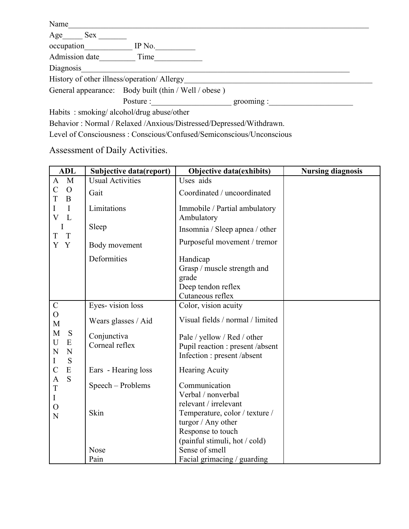| Name                                        |                                                                     |        |
|---------------------------------------------|---------------------------------------------------------------------|--------|
| Age<br>Sex                                  |                                                                     |        |
| occupation                                  | IP No.                                                              |        |
| Admission date                              | Time                                                                |        |
| Diagnosis                                   |                                                                     |        |
| History of other illness/operation/ Allergy |                                                                     |        |
|                                             | General appearance: Body built (thin / Well / obese)                |        |
|                                             | Posture :                                                           | group: |
| Habits: smoking/alcohol/drug abuse/other    |                                                                     |        |
|                                             | Behavior: Normal / Relaxed /Anxious/Distressed/Depressed/Withdrawn. |        |

Level of Consciousness : Conscious/Confused/Semiconscious/Unconscious

Assessment of Daily Activities.

| <b>ADL</b>                                                  | Subjective data(report)       | Objective data(exhibits)                                                                       | <b>Nursing diagnosis</b> |
|-------------------------------------------------------------|-------------------------------|------------------------------------------------------------------------------------------------|--------------------------|
| $\mathbf{M}$<br>$\mathbf{A}$                                | <b>Usual Activities</b>       | Uses aids                                                                                      |                          |
| $\overline{C}$<br>$\overline{O}$<br>T<br>B                  | Gait                          | Coordinated / uncoordinated                                                                    |                          |
| $\mathbf I$<br>I<br>$\overline{\mathbf{V}}$<br>$\mathbf{L}$ | Limitations                   | Immobile / Partial ambulatory<br>Ambulatory                                                    |                          |
| I<br>$\mathbf T$<br>T                                       | Sleep                         | Insomnia / Sleep apnea / other                                                                 |                          |
| Y<br>$\mathbf{Y}$                                           | Body movement                 | Purposeful movement / tremor                                                                   |                          |
|                                                             | Deformities                   | Handicap<br>Grasp / muscle strength and<br>grade<br>Deep tendon reflex<br>Cutaneous reflex     |                          |
| $\mathcal{C}$                                               | Eyes-vision loss              | Color, vision acuity                                                                           |                          |
| $\overline{O}$<br>M                                         | Wears glasses / Aid           | Visual fields / normal / limited                                                               |                          |
| M<br>S<br>U<br>${\bf E}$<br>N<br>N<br>S<br>$\bf{I}$         | Conjunctiva<br>Corneal reflex | Pale / yellow / Red / other<br>Pupil reaction : present /absent<br>Infection : present /absent |                          |
| $\overline{C}$<br>${\bf E}$                                 | Ears - Hearing loss           | <b>Hearing Acuity</b>                                                                          |                          |
| S<br>$\overline{A}$<br>$\mathbf T$<br>$\bf{I}$              | Speech - Problems             | Communication<br>Verbal / nonverbal<br>relevant / irrelevant                                   |                          |
| $\overline{O}$<br>N                                         | Skin                          | Temperature, color / texture /<br>turgor / Any other<br>Response to touch                      |                          |
|                                                             |                               | (painful stimuli, hot / cold)                                                                  |                          |
|                                                             | <b>Nose</b><br>Pain           | Sense of smell<br>Facial grimacing / guarding                                                  |                          |
|                                                             |                               |                                                                                                |                          |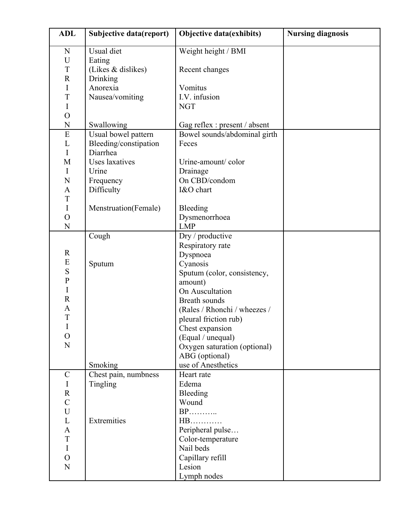| <b>ADL</b>          | Subjective data(report) | <b>Objective data(exhibits)</b>      | <b>Nursing diagnosis</b> |
|---------------------|-------------------------|--------------------------------------|--------------------------|
| N                   | Usual diet              | Weight height / BMI                  |                          |
| U                   | Eating                  |                                      |                          |
| T                   | (Likes & dislikes)      | Recent changes                       |                          |
| $\mathbf R$         | Drinking                |                                      |                          |
| I                   | Anorexia                | Vomitus                              |                          |
| T                   | Nausea/vomiting         | I.V. infusion                        |                          |
| I                   |                         | <b>NGT</b>                           |                          |
| $\overline{O}$      |                         |                                      |                          |
| $\mathbf N$         | Swallowing              | Gag reflex : present / absent        |                          |
| ${\bf E}$           | Usual bowel pattern     | Bowel sounds/abdominal girth         |                          |
| L                   | Bleeding/constipation   | Feces                                |                          |
| I                   | Diarrhea                |                                      |                          |
| M                   | <b>Uses</b> laxatives   | Urine-amount/color                   |                          |
| I                   | Urine                   | Drainage                             |                          |
| N                   | Frequency               | On CBD/condom                        |                          |
| $\mathbf{A}$        | Difficulty              | I&O chart                            |                          |
| T                   |                         |                                      |                          |
| $\mathbf I$         | Menstruation(Female)    | Bleeding                             |                          |
| $\mathcal{O}$       |                         | Dysmenorrhoea                        |                          |
| $\mathbf N$         |                         | <b>LMP</b>                           |                          |
|                     | Cough                   | Dry / productive                     |                          |
|                     |                         | Respiratory rate                     |                          |
| $\mathbf R$         |                         | Dyspnoea                             |                          |
| E                   | Sputum                  | Cyanosis                             |                          |
| ${\bf S}$           |                         | Sputum (color, consistency,          |                          |
| $\mathbf{P}$        |                         | amount)                              |                          |
| I                   |                         | On Auscultation                      |                          |
| $\mathbf R$         |                         | <b>Breath sounds</b>                 |                          |
| A                   |                         | (Rales / Rhonchi / wheezes /         |                          |
| T                   |                         | pleural friction rub)                |                          |
| I<br>$\overline{O}$ |                         | Chest expansion                      |                          |
| N                   |                         | (Equal / unequal)                    |                          |
|                     |                         | Oxygen saturation (optional)         |                          |
|                     |                         | ABG (optional)<br>use of Anesthetics |                          |
|                     | Smoking                 |                                      |                          |
| $\mathcal{C}$       | Chest pain, numbness    | Heart rate                           |                          |
| I<br>$\mathbf R$    | Tingling                | Edema                                |                          |
| $\overline{C}$      |                         | Bleeding<br>Wound                    |                          |
| U                   |                         | <b>BP</b>                            |                          |
| L                   | Extremities             | $HB$                                 |                          |
| $\mathbf{A}$        |                         | Peripheral pulse                     |                          |
| T                   |                         | Color-temperature                    |                          |
| I                   |                         | Nail beds                            |                          |
| $\overline{O}$      |                         | Capillary refill                     |                          |
| N                   |                         | Lesion                               |                          |
|                     |                         | Lymph nodes                          |                          |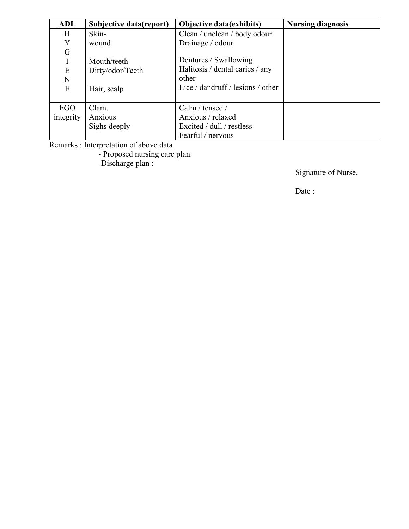| ADL       | Subjective data(report) | <b>Nursing diagnosis</b>          |  |
|-----------|-------------------------|-----------------------------------|--|
| Η         | Skin-                   | Clean / unclean / body odour      |  |
| Y         | wound                   | Drainage / odour                  |  |
| ${\bf G}$ |                         |                                   |  |
|           | Mouth/teeth             | Dentures / Swallowing             |  |
| E         | Dirty/odor/Teeth        | Halitosis / dental caries / any   |  |
| N         |                         | other                             |  |
| E         | Hair, scalp             | Lice / dandruff / lesions / other |  |
|           |                         |                                   |  |
| EGO       | Clam.                   | Calm / tensed /                   |  |
| integrity | Anxious                 | Anxious / relaxed                 |  |
|           | Sighs deeply            | Excited / dull / restless         |  |
|           |                         | Fearful / nervous                 |  |

Remarks : Interpretation of above data

- Proposed nursing care plan.

-Discharge plan :

Signature of Nurse.

Date :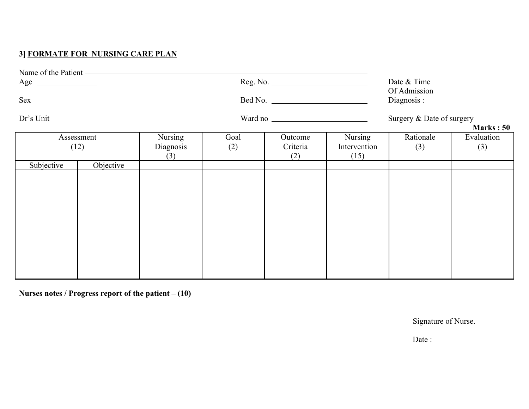### **3] FORMATE FOR NURSING CARE PLAN**

|            | Name of the Patient ———————————————————— |                                    |             |                                                                        |                                 |                  |                   |
|------------|------------------------------------------|------------------------------------|-------------|------------------------------------------------------------------------|---------------------------------|------------------|-------------------|
| $Age \_$   |                                          |                                    |             |                                                                        |                                 | Date & Time      |                   |
| Sex        |                                          |                                    |             | Of Admission<br>Diagnosis:<br>Surgery & Date of surgery<br>Marks: $50$ |                                 |                  |                   |
| Dr's Unit  |                                          |                                    |             |                                                                        |                                 |                  |                   |
|            | Assessment<br>(12)                       | <b>Nursing</b><br>Diagnosis<br>(3) | Goal<br>(2) | Outcome<br>Criteria<br>(2)                                             | Nursing<br>Intervention<br>(15) | Rationale<br>(3) | Evaluation<br>(3) |
| Subjective | Objective                                |                                    |             |                                                                        |                                 |                  |                   |
|            |                                          |                                    |             |                                                                        |                                 |                  |                   |
|            |                                          |                                    |             |                                                                        |                                 |                  |                   |
|            |                                          |                                    |             |                                                                        |                                 |                  |                   |

**Nurses notes / Progress report of the patient – (10)**

Signature of Nurse.

Date :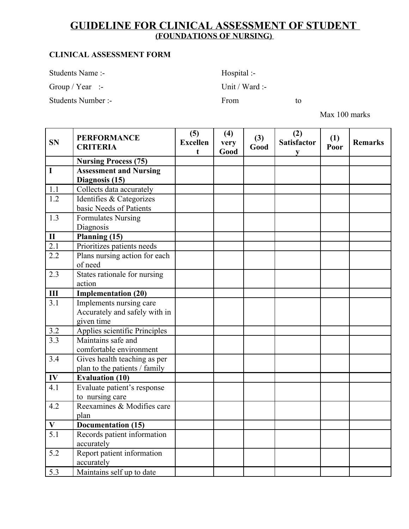### **GUIDELINE FOR CLINICAL ASSESSMENT OF STUDENT (FOUNDATIONS OF NURSING)**

#### **CLINICAL ASSESSMENT FORM**

Students Name :- Hospital :-

Group / Year :- Unit / Ward :-

Students Number :- From to

Max 100 marks

| <b>SN</b>                 | <b>PERFORMANCE</b><br><b>CRITERIA</b> | (5)<br><b>Excellen</b><br>t | (4)<br>very<br>Good | (3)<br>Good | (2)<br><b>Satisfactor</b><br>V | (1)<br>Poor | <b>Remarks</b> |
|---------------------------|---------------------------------------|-----------------------------|---------------------|-------------|--------------------------------|-------------|----------------|
|                           | <b>Nursing Process (75)</b>           |                             |                     |             |                                |             |                |
| I                         | <b>Assessment and Nursing</b>         |                             |                     |             |                                |             |                |
|                           | Diagnosis (15)                        |                             |                     |             |                                |             |                |
| 1.1                       | Collects data accurately              |                             |                     |             |                                |             |                |
| 1.2                       | Identifies & Categorizes              |                             |                     |             |                                |             |                |
|                           | basic Needs of Patients               |                             |                     |             |                                |             |                |
| 1.3                       | <b>Formulates Nursing</b>             |                             |                     |             |                                |             |                |
|                           | Diagnosis                             |                             |                     |             |                                |             |                |
| $\mathbf{I}$              | Planning (15)                         |                             |                     |             |                                |             |                |
| $\overline{2.1}$          | Prioritizes patients needs            |                             |                     |             |                                |             |                |
| 2.2                       | Plans nursing action for each         |                             |                     |             |                                |             |                |
|                           | of need                               |                             |                     |             |                                |             |                |
| 2.3                       | States rationale for nursing          |                             |                     |             |                                |             |                |
|                           | action                                |                             |                     |             |                                |             |                |
| $\mathbf{III}$            | <b>Implementation (20)</b>            |                             |                     |             |                                |             |                |
| 3.1                       | Implements nursing care               |                             |                     |             |                                |             |                |
|                           | Accurately and safely with in         |                             |                     |             |                                |             |                |
|                           | given time                            |                             |                     |             |                                |             |                |
| 3.2                       | Applies scientific Principles         |                             |                     |             |                                |             |                |
| 3.3                       | Maintains safe and                    |                             |                     |             |                                |             |                |
|                           | comfortable environment               |                             |                     |             |                                |             |                |
| 3.4                       | Gives health teaching as per          |                             |                     |             |                                |             |                |
|                           | plan to the patients / family         |                             |                     |             |                                |             |                |
| IV                        | <b>Evaluation (10)</b>                |                             |                     |             |                                |             |                |
| 4.1                       | Evaluate patient's response           |                             |                     |             |                                |             |                |
|                           | to nursing care                       |                             |                     |             |                                |             |                |
| 4.2                       | Reexamines & Modifies care            |                             |                     |             |                                |             |                |
|                           | plan                                  |                             |                     |             |                                |             |                |
| $\boldsymbol{\mathrm{V}}$ | Documentation (15)                    |                             |                     |             |                                |             |                |
| 5.1                       | Records patient information           |                             |                     |             |                                |             |                |
|                           | accurately                            |                             |                     |             |                                |             |                |
| 5.2                       | Report patient information            |                             |                     |             |                                |             |                |
|                           | accurately                            |                             |                     |             |                                |             |                |
| 5.3                       | Maintains self up to date             |                             |                     |             |                                |             |                |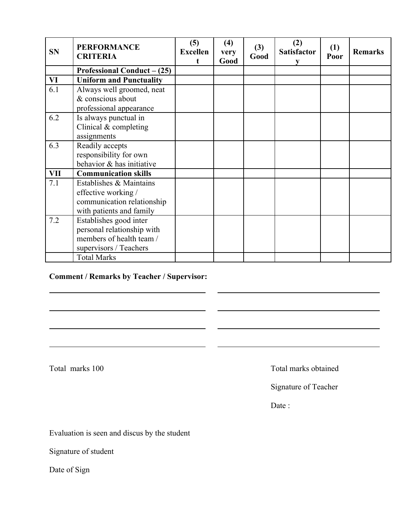| <b>SN</b> | <b>PERFORMANCE</b><br><b>CRITERIA</b> | (5)<br><b>Excellen</b><br>t | (4)<br>very<br>Good | (3)<br>Good | (2)<br><b>Satisfactor</b> | (1)<br>Poor | <b>Remarks</b> |
|-----------|---------------------------------------|-----------------------------|---------------------|-------------|---------------------------|-------------|----------------|
|           | Professional Conduct $- (25)$         |                             |                     |             |                           |             |                |
| VI        | <b>Uniform and Punctuality</b>        |                             |                     |             |                           |             |                |
| 6.1       | Always well groomed, neat             |                             |                     |             |                           |             |                |
|           | & conscious about                     |                             |                     |             |                           |             |                |
|           | professional appearance               |                             |                     |             |                           |             |                |
| 6.2       | Is always punctual in                 |                             |                     |             |                           |             |                |
|           | Clinical $&$ completing               |                             |                     |             |                           |             |                |
|           | assignments                           |                             |                     |             |                           |             |                |
| 6.3       | Readily accepts                       |                             |                     |             |                           |             |                |
|           | responsibility for own                |                             |                     |             |                           |             |                |
|           | behavior & has initiative             |                             |                     |             |                           |             |                |
| VII       | <b>Communication skills</b>           |                             |                     |             |                           |             |                |
| 7.1       | Establishes & Maintains               |                             |                     |             |                           |             |                |
|           | effective working /                   |                             |                     |             |                           |             |                |
|           | communication relationship            |                             |                     |             |                           |             |                |
|           | with patients and family              |                             |                     |             |                           |             |                |
| 7.2       | Establishes good inter                |                             |                     |             |                           |             |                |
|           | personal relationship with            |                             |                     |             |                           |             |                |
|           | members of health team /              |                             |                     |             |                           |             |                |
|           | supervisors / Teachers                |                             |                     |             |                           |             |                |
|           | <b>Total Marks</b>                    |                             |                     |             |                           |             |                |

#### **Comment / Remarks by Teacher / Supervisor:**

Total marks 100 Total marks obtained

Signature of Teacher

Date:

Evaluation is seen and discus by the student

Signature of student

Date of Sign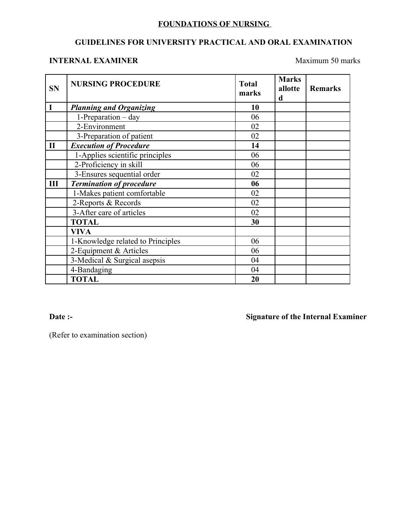#### **FOUNDATIONS OF NURSING**

#### **GUIDELINES FOR UNIVERSITY PRACTICAL AND ORAL EXAMINATION**

#### **INTERNAL EXAMINER** Maximum 50 marks

| <b>SN</b>    | <b>NURSING PROCEDURE</b>          | <b>Total</b><br>marks | <b>Marks</b><br>allotte<br>d | <b>Remarks</b> |
|--------------|-----------------------------------|-----------------------|------------------------------|----------------|
| I            | <b>Planning and Organizing</b>    | 10                    |                              |                |
|              | $1$ -Preparation – day            | 06                    |                              |                |
|              | 2-Environment                     | 02                    |                              |                |
|              | 3-Preparation of patient          | 02                    |                              |                |
| $\mathbf{I}$ | <b>Execution of Procedure</b>     | 14                    |                              |                |
|              | 1-Applies scientific principles   | 06                    |                              |                |
|              | 2-Proficiency in skill            | 06                    |                              |                |
|              | 3-Ensures sequential order        | 02                    |                              |                |
| Ш            | <b>Termination of procedure</b>   | 06                    |                              |                |
|              | 1-Makes patient comfortable       | 02                    |                              |                |
|              | 2-Reports & Records               | 02                    |                              |                |
|              | 3-After care of articles          | 02                    |                              |                |
|              | <b>TOTAL</b>                      | 30                    |                              |                |
|              | <b>VIVA</b>                       |                       |                              |                |
|              | 1-Knowledge related to Principles | 06                    |                              |                |
|              | 2-Equipment & Articles            | 06                    |                              |                |
|              | 3-Medical & Surgical asepsis      | 04                    |                              |                |
|              | 4-Bandaging                       | 04                    |                              |                |
|              | <b>TOTAL</b>                      | 20                    |                              |                |

**Date :- Signature of the Internal Examiner**

(Refer to examination section)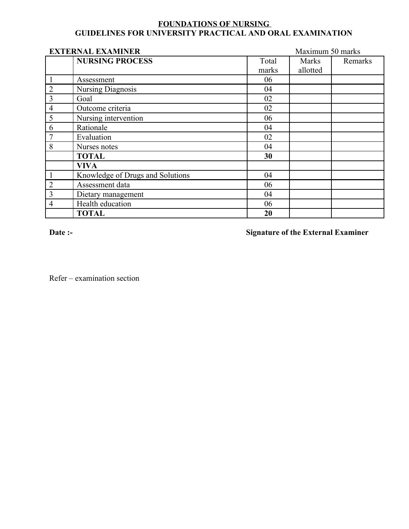#### **FOUNDATIONS OF NURSING GUIDELINES FOR UNIVERSITY PRACTICAL AND ORAL EXAMINATION**

|                | <b>EXTERNAL EXAMINER</b>         |       | Maximum 50 marks |         |  |  |
|----------------|----------------------------------|-------|------------------|---------|--|--|
|                | <b>NURSING PROCESS</b>           | Total | Marks            | Remarks |  |  |
|                |                                  | marks | allotted         |         |  |  |
|                | Assessment                       | 06    |                  |         |  |  |
| $\overline{2}$ | <b>Nursing Diagnosis</b>         | 04    |                  |         |  |  |
| $\overline{3}$ | Goal                             | 02    |                  |         |  |  |
| $\overline{4}$ | Outcome criteria                 | 02    |                  |         |  |  |
| 5              | Nursing intervention             | 06    |                  |         |  |  |
| 6              | Rationale                        | 04    |                  |         |  |  |
|                | Evaluation                       | 02    |                  |         |  |  |
| 8              | Nurses notes                     | 04    |                  |         |  |  |
|                | <b>TOTAL</b>                     | 30    |                  |         |  |  |
|                | <b>VIVA</b>                      |       |                  |         |  |  |
|                | Knowledge of Drugs and Solutions | 04    |                  |         |  |  |
| $\overline{2}$ | Assessment data                  | 06    |                  |         |  |  |
| $\overline{3}$ | Dietary management               | 04    |                  |         |  |  |
| 4              | Health education                 | 06    |                  |         |  |  |
|                | <b>TOTAL</b>                     | 20    |                  |         |  |  |

**Date :- Signature of the External Examiner**

Refer – examination section